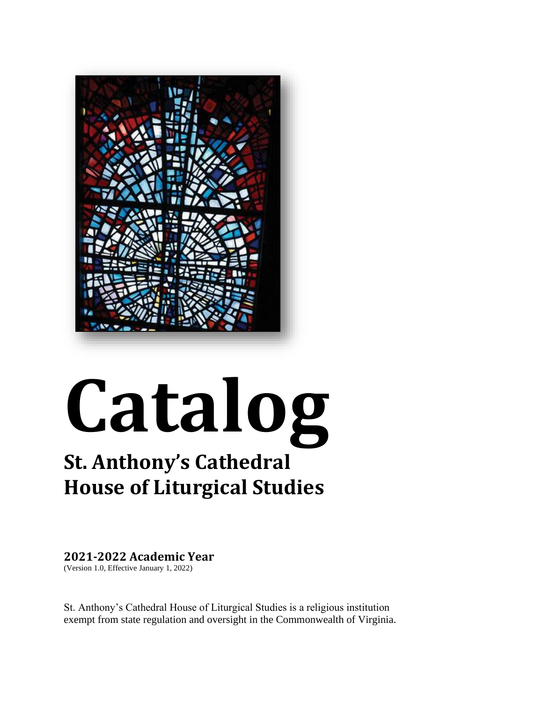

# **Catalog St. Anthony's Cathedral House of Liturgical Studies**

# **2021-2022 Academic Year**

(Version 1.0, Effective January 1, 2022)

St. Anthony's Cathedral House of Liturgical Studies is a religious institution exempt from state regulation and oversight in the Commonwealth of Virginia.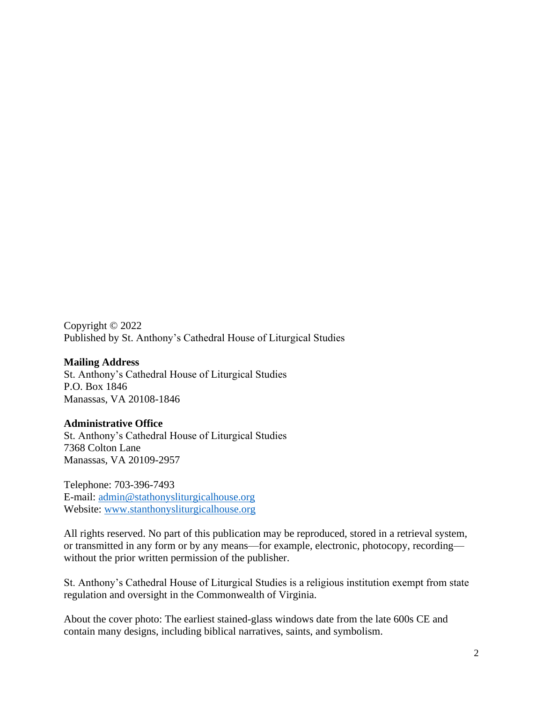Copyright © 2022 Published by St. Anthony's Cathedral House of Liturgical Studies

#### **Mailing Address**

St. Anthony's Cathedral House of Liturgical Studies P.O. Box 1846 Manassas, VA 20108-1846

#### **Administrative Office**

St. Anthony's Cathedral House of Liturgical Studies 7368 Colton Lane Manassas, VA 20109-2957

Telephone: 703-396-7493 E-mail: [admin@stathonysliturgicalhouse.org](mailto:admin@stathonysliturgicalhouse.org) Website: [www.stanthonysliturgicalhouse.org](http://www.stanthonysliturgicalhouse.org/)

All rights reserved. No part of this publication may be reproduced, stored in a retrieval system, or transmitted in any form or by any means—for example, electronic, photocopy, recording without the prior written permission of the publisher.

St. Anthony's Cathedral House of Liturgical Studies is a religious institution exempt from state regulation and oversight in the Commonwealth of Virginia.

About the cover photo: The earliest stained-glass windows date from the late 600s CE and contain many designs, including biblical narratives, saints, and symbolism.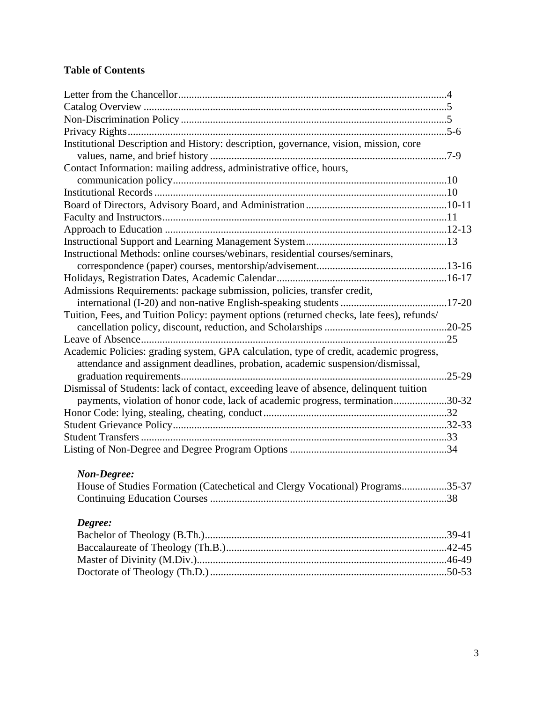# **Table of Contents**

| Institutional Description and History: description, governance, vision, mission, core     |            |
|-------------------------------------------------------------------------------------------|------------|
|                                                                                           |            |
| Contact Information: mailing address, administrative office, hours,                       |            |
|                                                                                           |            |
|                                                                                           |            |
|                                                                                           |            |
|                                                                                           |            |
|                                                                                           |            |
|                                                                                           |            |
| Instructional Methods: online courses/webinars, residential courses/seminars,             |            |
|                                                                                           |            |
|                                                                                           |            |
| Admissions Requirements: package submission, policies, transfer credit,                   |            |
|                                                                                           |            |
| Tuition, Fees, and Tuition Policy: payment options (returned checks, late fees), refunds/ |            |
|                                                                                           |            |
| Leave of Absence                                                                          |            |
| Academic Policies: grading system, GPA calculation, type of credit, academic progress,    |            |
| attendance and assignment deadlines, probation, academic suspension/dismissal,            |            |
|                                                                                           | $.25 - 29$ |
| Dismissal of Students: lack of contact, exceeding leave of absence, delinquent tuition    |            |
| payments, violation of honor code, lack of academic progress, termination30-32            |            |
|                                                                                           |            |
|                                                                                           |            |
|                                                                                           |            |
|                                                                                           |            |
|                                                                                           |            |

# *Non-Degree:*

| House of Studies Formation (Catechetical and Clergy Vocational) Programs35-37 |  |
|-------------------------------------------------------------------------------|--|
|                                                                               |  |

# *Degree:*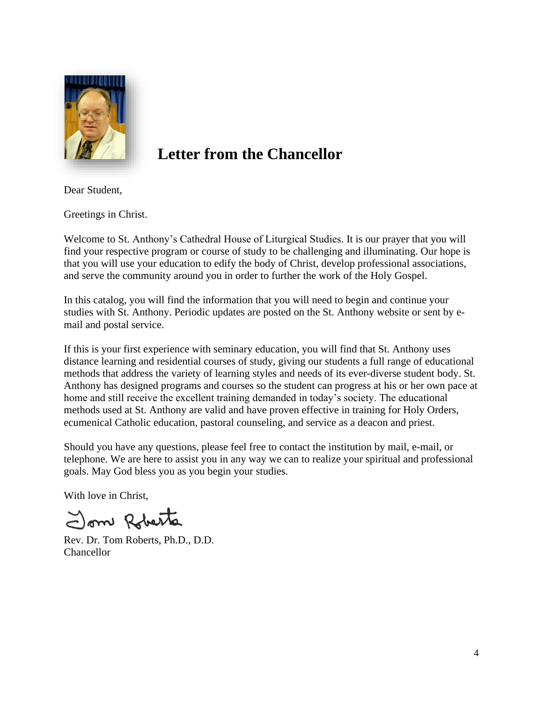

# **Letter from the Chancellor**

Dear Student,

Greetings in Christ.

Welcome to St. Anthony's Cathedral House of Liturgical Studies. It is our prayer that you will find your respective program or course of study to be challenging and illuminating. Our hope is that you will use your education to edify the body of Christ, develop professional associations, and serve the community around you in order to further the work of the Holy Gospel.

In this catalog, you will find the information that you will need to begin and continue your studies with St. Anthony. Periodic updates are posted on the St. Anthony website or sent by email and postal service.

If this is your first experience with seminary education, you will find that St. Anthony uses distance learning and residential courses of study, giving our students a full range of educational methods that address the variety of learning styles and needs of its ever-diverse student body. St. Anthony has designed programs and courses so the student can progress at his or her own pace at home and still receive the excellent training demanded in today's society. The educational methods used at St. Anthony are valid and have proven effective in training for Holy Orders, ecumenical Catholic education, pastoral counseling, and service as a deacon and priest.

Should you have any questions, please feel free to contact the institution by mail, e-mail, or telephone. We are here to assist you in any way we can to realize your spiritual and professional goals. May God bless you as you begin your studies.

With love in Christ,

Jon Roberto

Rev. Dr. Tom Roberts, Ph.D., D.D. Chancellor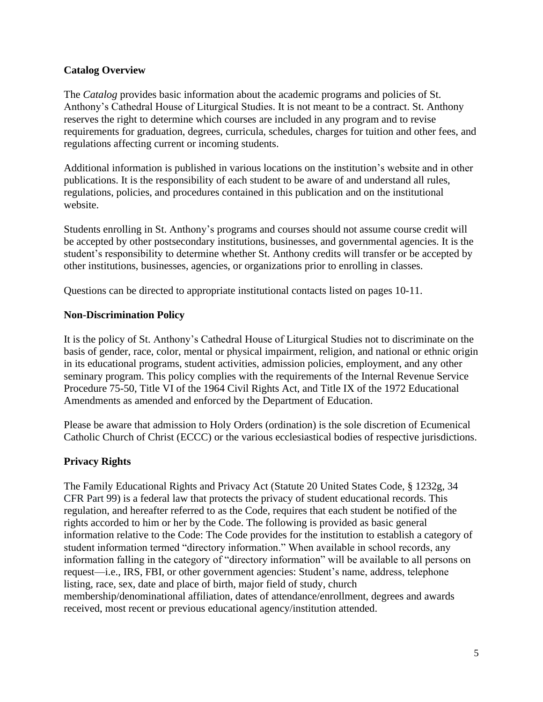#### **Catalog Overview**

The *Catalog* provides basic information about the academic programs and policies of St. Anthony's Cathedral House of Liturgical Studies. It is not meant to be a contract. St. Anthony reserves the right to determine which courses are included in any program and to revise requirements for graduation, degrees, curricula, schedules, charges for tuition and other fees, and regulations affecting current or incoming students.

Additional information is published in various locations on the institution's website and in other publications. It is the responsibility of each student to be aware of and understand all rules, regulations, policies, and procedures contained in this publication and on the institutional website.

Students enrolling in St. Anthony's programs and courses should not assume course credit will be accepted by other postsecondary institutions, businesses, and governmental agencies. It is the student's responsibility to determine whether St. Anthony credits will transfer or be accepted by other institutions, businesses, agencies, or organizations prior to enrolling in classes.

Questions can be directed to appropriate institutional contacts listed on pages 10-11.

#### **Non-Discrimination Policy**

It is the policy of St. Anthony's Cathedral House of Liturgical Studies not to discriminate on the basis of gender, race, color, mental or physical impairment, religion, and national or ethnic origin in its educational programs, student activities, admission policies, employment, and any other seminary program. This policy complies with the requirements of the Internal Revenue Service Procedure 75-50, Title VI of the 1964 Civil Rights Act, and Title IX of the 1972 Educational Amendments as amended and enforced by the Department of Education.

Please be aware that admission to Holy Orders (ordination) is the sole discretion of Ecumenical Catholic Church of Christ (ECCC) or the various ecclesiastical bodies of respective jurisdictions.

#### **Privacy Rights**

The Family Educational Rights and Privacy Act (Statute 20 United States Code, § 1232g, 34 CFR Part 99) is a federal law that protects the privacy of student educational records. This regulation, and hereafter referred to as the Code, requires that each student be notified of the rights accorded to him or her by the Code. The following is provided as basic general information relative to the Code: The Code provides for the institution to establish a category of student information termed "directory information." When available in school records, any information falling in the category of "directory information" will be available to all persons on request—i.e., IRS, FBI, or other government agencies: Student's name, address, telephone listing, race, sex, date and place of birth, major field of study, church membership/denominational affiliation, dates of attendance/enrollment, degrees and awards received, most recent or previous educational agency/institution attended.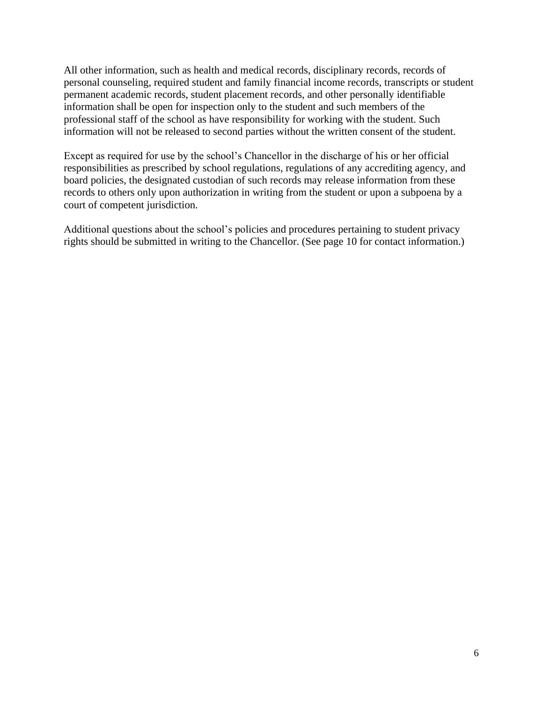All other information, such as health and medical records, disciplinary records, records of personal counseling, required student and family financial income records, transcripts or student permanent academic records, student placement records, and other personally identifiable information shall be open for inspection only to the student and such members of the professional staff of the school as have responsibility for working with the student. Such information will not be released to second parties without the written consent of the student.

Except as required for use by the school's Chancellor in the discharge of his or her official responsibilities as prescribed by school regulations, regulations of any accrediting agency, and board policies, the designated custodian of such records may release information from these records to others only upon authorization in writing from the student or upon a subpoena by a court of competent jurisdiction.

Additional questions about the school's policies and procedures pertaining to student privacy rights should be submitted in writing to the Chancellor. (See page 10 for contact information.)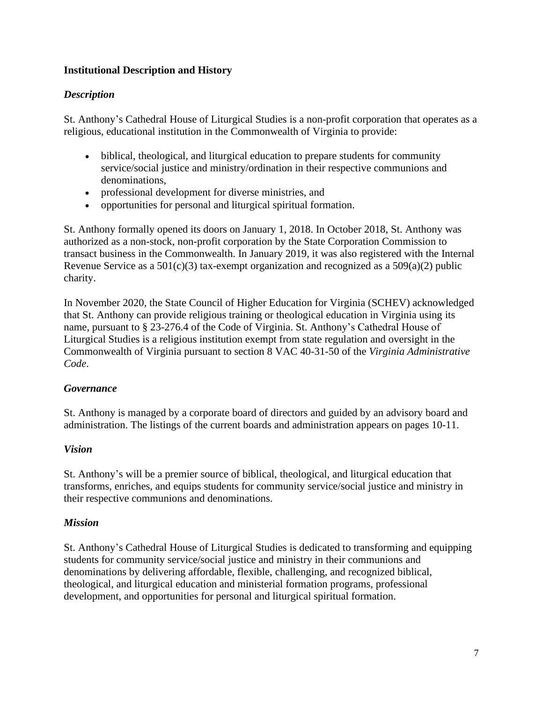# **Institutional Description and History**

# *Description*

St. Anthony's Cathedral House of Liturgical Studies is a non-profit corporation that operates as a religious, educational institution in the Commonwealth of Virginia to provide:

- biblical, theological, and liturgical education to prepare students for community service/social justice and ministry/ordination in their respective communions and denominations,
- professional development for diverse ministries, and
- opportunities for personal and liturgical spiritual formation.

St. Anthony formally opened its doors on January 1, 2018. In October 2018, St. Anthony was authorized as a non-stock, non-profit corporation by the State Corporation Commission to transact business in the Commonwealth. In January 2019, it was also registered with the Internal Revenue Service as a  $501(c)(3)$  tax-exempt organization and recognized as a  $509(a)(2)$  public charity.

In November 2020, the State Council of Higher Education for Virginia (SCHEV) acknowledged that St. Anthony can provide religious training or theological education in Virginia using its name, pursuant to § 23-276.4 of the Code of Virginia. St. Anthony's Cathedral House of Liturgical Studies is a religious institution exempt from state regulation and oversight in the Commonwealth of Virginia pursuant to section 8 VAC 40-31-50 of the *Virginia Administrative Code*.

#### *Governance*

St. Anthony is managed by a corporate board of directors and guided by an advisory board and administration. The listings of the current boards and administration appears on pages 10-11.

#### *Vision*

St. Anthony's will be a premier source of biblical, theological, and liturgical education that transforms, enriches, and equips students for community service/social justice and ministry in their respective communions and denominations.

#### *Mission*

St. Anthony's Cathedral House of Liturgical Studies is dedicated to transforming and equipping students for community service/social justice and ministry in their communions and denominations by delivering affordable, flexible, challenging, and recognized biblical, theological, and liturgical education and ministerial formation programs, professional development, and opportunities for personal and liturgical spiritual formation.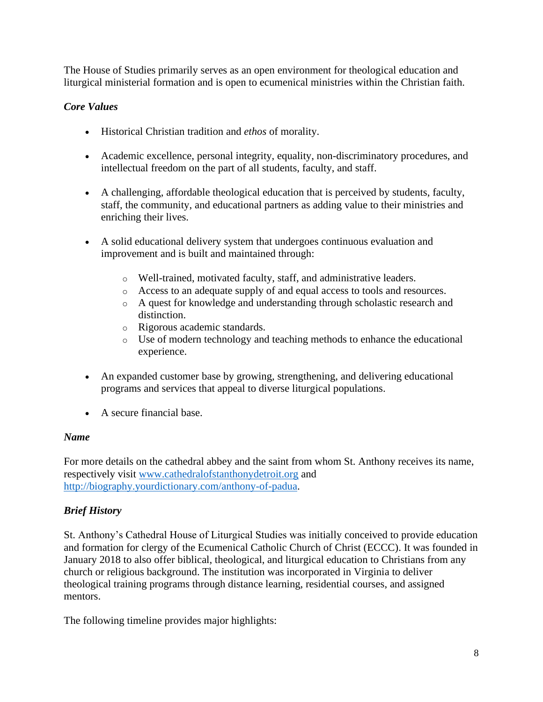The House of Studies primarily serves as an open environment for theological education and liturgical ministerial formation and is open to ecumenical ministries within the Christian faith.

# *Core Values*

- Historical Christian tradition and *ethos* of morality.
- Academic excellence, personal integrity, equality, non-discriminatory procedures, and intellectual freedom on the part of all students, faculty, and staff.
- A challenging, affordable theological education that is perceived by students, faculty, staff, the community, and educational partners as adding value to their ministries and enriching their lives.
- A solid educational delivery system that undergoes continuous evaluation and improvement and is built and maintained through:
	- o Well-trained, motivated faculty, staff, and administrative leaders.
	- o Access to an adequate supply of and equal access to tools and resources.
	- o A quest for knowledge and understanding through scholastic research and distinction.
	- o Rigorous academic standards.
	- o Use of modern technology and teaching methods to enhance the educational experience.
- An expanded customer base by growing, strengthening, and delivering educational programs and services that appeal to diverse liturgical populations.
- A secure financial base.

#### *Name*

For more details on the cathedral abbey and the saint from whom St. Anthony receives its name, respectively visit [www.cathedralofstanthonydetroit.org](http://www.cathedralofstanthonydetroit.org/) and [http://biography.yourdictionary.com/anthony-of-padua.](http://biography.yourdictionary.com/anthony-of-padua)

#### *Brief History*

St. Anthony's Cathedral House of Liturgical Studies was initially conceived to provide education and formation for clergy of the Ecumenical Catholic Church of Christ (ECCC). It was founded in January 2018 to also offer biblical, theological, and liturgical education to Christians from any church or religious background. The institution was incorporated in Virginia to deliver theological training programs through distance learning, residential courses, and assigned mentors.

The following timeline provides major highlights: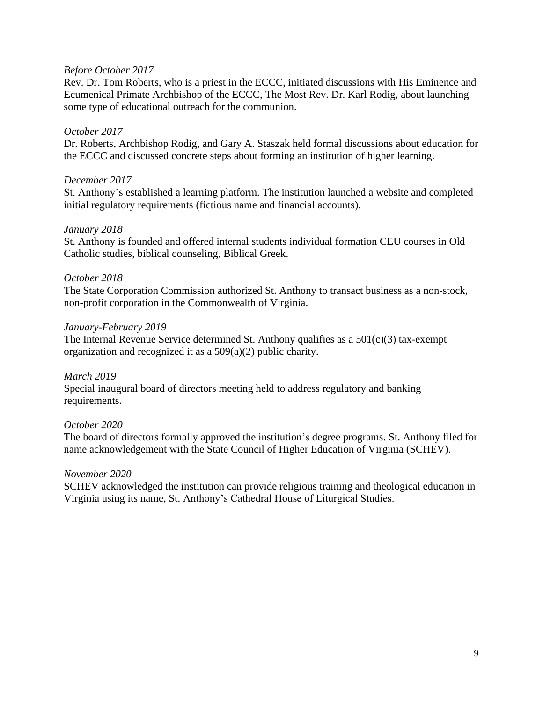#### *Before October 2017*

Rev. Dr. Tom Roberts, who is a priest in the ECCC, initiated discussions with His Eminence and Ecumenical Primate Archbishop of the ECCC, The Most Rev. Dr. Karl Rodig, about launching some type of educational outreach for the communion.

#### *October 2017*

Dr. Roberts, Archbishop Rodig, and Gary A. Staszak held formal discussions about education for the ECCC and discussed concrete steps about forming an institution of higher learning.

#### *December 2017*

St. Anthony's established a learning platform. The institution launched a website and completed initial regulatory requirements (fictious name and financial accounts).

#### *January 2018*

St. Anthony is founded and offered internal students individual formation CEU courses in Old Catholic studies, biblical counseling, Biblical Greek.

#### *October 2018*

The State Corporation Commission authorized St. Anthony to transact business as a non-stock, non-profit corporation in the Commonwealth of Virginia.

#### *January-February 2019*

The Internal Revenue Service determined St. Anthony qualifies as a  $501(c)(3)$  tax-exempt organization and recognized it as a 509(a)(2) public charity.

#### *March 2019*

Special inaugural board of directors meeting held to address regulatory and banking requirements.

#### *October 2020*

The board of directors formally approved the institution's degree programs. St. Anthony filed for name acknowledgement with the State Council of Higher Education of Virginia (SCHEV).

#### *November 2020*

SCHEV acknowledged the institution can provide religious training and theological education in Virginia using its name, St. Anthony's Cathedral House of Liturgical Studies.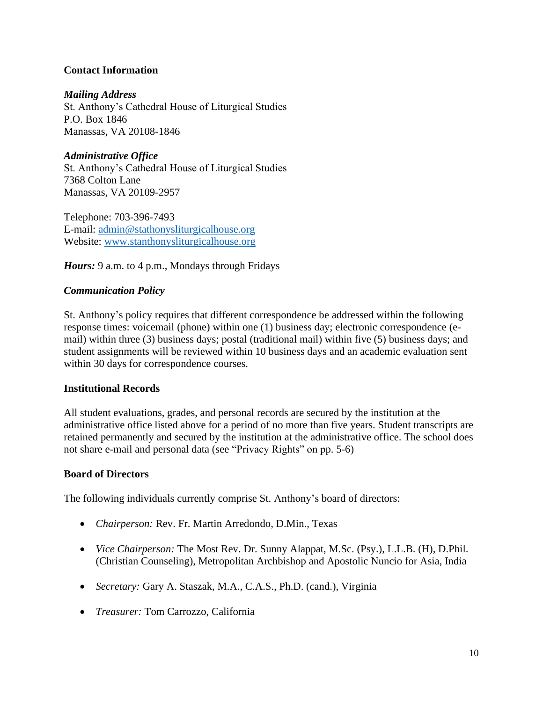#### **Contact Information**

#### *Mailing Address*

St. Anthony's Cathedral House of Liturgical Studies P.O. Box 1846 Manassas, VA 20108-1846

#### *Administrative Office*

St. Anthony's Cathedral House of Liturgical Studies 7368 Colton Lane Manassas, VA 20109-2957

Telephone: 703-396-7493 E-mail: [admin@stathonysliturgicalhouse.org](mailto:admin@stathonysliturgicalhouse.org) Website: [www.stanthonysliturgicalhouse.org](http://www.stanthonysliturgicalhouse.org/)

*Hours:* 9 a.m. to 4 p.m., Mondays through Fridays

#### *Communication Policy*

St. Anthony's policy requires that different correspondence be addressed within the following response times: voicemail (phone) within one (1) business day; electronic correspondence (email) within three (3) business days; postal (traditional mail) within five (5) business days; and student assignments will be reviewed within 10 business days and an academic evaluation sent within 30 days for correspondence courses.

#### **Institutional Records**

All student evaluations, grades, and personal records are secured by the institution at the administrative office listed above for a period of no more than five years. Student transcripts are retained permanently and secured by the institution at the administrative office. The school does not share e-mail and personal data (see "Privacy Rights" on pp. 5-6)

#### **Board of Directors**

The following individuals currently comprise St. Anthony's board of directors:

- *Chairperson:* Rev. Fr. Martin Arredondo, D.Min., Texas
- *Vice Chairperson:* The Most Rev. Dr. Sunny Alappat, M.Sc. (Psy.), L.L.B. (H), D.Phil. (Christian Counseling), Metropolitan Archbishop and Apostolic Nuncio for Asia, India
- *Secretary:* Gary A. Staszak, M.A., C.A.S., Ph.D. (cand.), Virginia
- *Treasurer:* Tom Carrozzo, California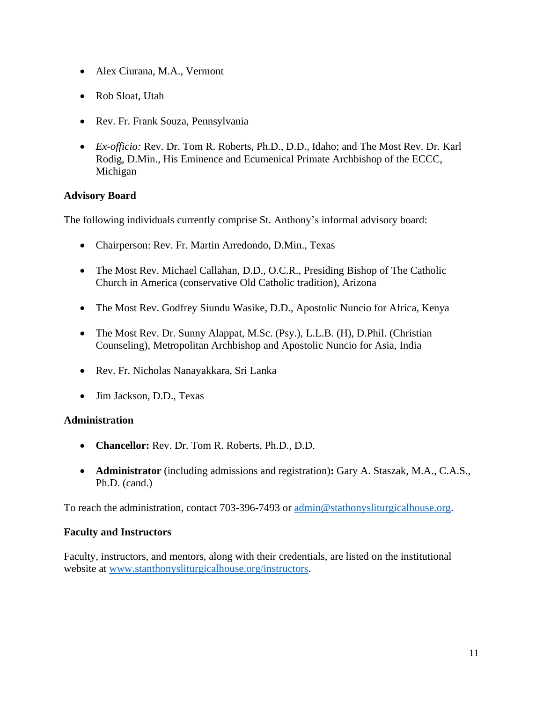- Alex Ciurana, M.A., Vermont
- Rob Sloat, Utah
- Rev. Fr. Frank Souza, Pennsylvania
- *Ex-officio:* Rev. Dr. Tom R. Roberts, Ph.D., D.D., Idaho; and The Most Rev. Dr. Karl Rodig, D.Min., His Eminence and Ecumenical Primate Archbishop of the ECCC, Michigan

#### **Advisory Board**

The following individuals currently comprise St. Anthony's informal advisory board:

- Chairperson: Rev. Fr. Martin Arredondo, D.Min., Texas
- The Most Rev. Michael Callahan, D.D., O.C.R., Presiding Bishop of The Catholic Church in America (conservative Old Catholic tradition), Arizona
- The Most Rev. Godfrey Siundu Wasike, D.D., Apostolic Nuncio for Africa, Kenya
- The Most Rev. Dr. Sunny Alappat, M.Sc. (Psy.), L.L.B. (H), D.Phil. (Christian Counseling), Metropolitan Archbishop and Apostolic Nuncio for Asia, India
- Rev. Fr. Nicholas Nanayakkara, Sri Lanka
- Jim Jackson, D.D., Texas

#### **Administration**

- **Chancellor:** Rev. Dr. Tom R. Roberts, Ph.D., D.D.
- **Administrator** (including admissions and registration)**:** Gary A. Staszak, M.A., C.A.S., Ph.D. (cand.)

To reach the administration, contact 703-396-7493 or  $\underline{admin@}$  stathonysliturgicalhouse.org.

#### **Faculty and Instructors**

Faculty, instructors, and mentors, along with their credentials, are listed on the institutional website at [www.stanthonysliturgicalhouse.org/instructors.](http://www.stanthonysliturgicalhouse.org/instructors)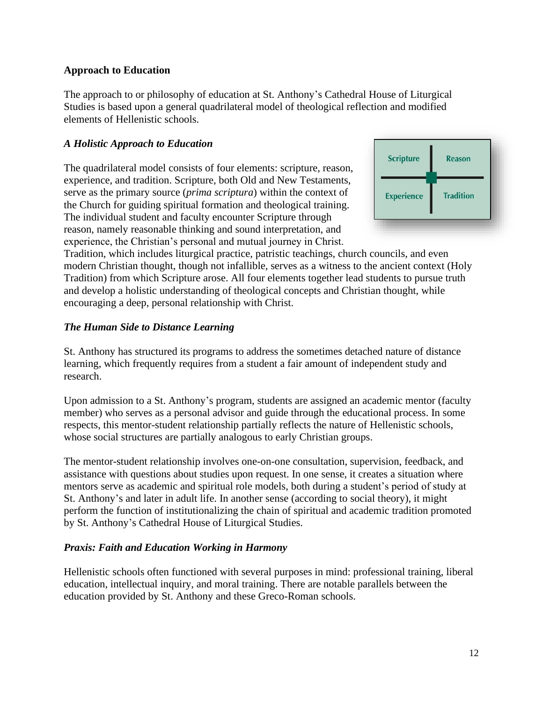#### **Approach to Education**

The approach to or philosophy of education at St. Anthony's Cathedral House of Liturgical Studies is based upon a general quadrilateral model of theological reflection and modified elements of Hellenistic schools.

#### *A Holistic Approach to Education*

The quadrilateral model consists of four elements: scripture, reason, experience, and tradition. Scripture, both Old and New Testaments, serve as the primary source (*prima scriptura*) within the context of the Church for guiding spiritual formation and theological training. The individual student and faculty encounter Scripture through reason, namely reasonable thinking and sound interpretation, and experience, the Christian's personal and mutual journey in Christ.



Tradition, which includes liturgical practice, patristic teachings, church councils, and even modern Christian thought, though not infallible, serves as a witness to the ancient context (Holy Tradition) from which Scripture arose. All four elements together lead students to pursue truth and develop a holistic understanding of theological concepts and Christian thought, while encouraging a deep, personal relationship with Christ.

#### *The Human Side to Distance Learning*

St. Anthony has structured its programs to address the sometimes detached nature of distance learning, which frequently requires from a student a fair amount of independent study and research.

Upon admission to a St. Anthony's program, students are assigned an academic mentor (faculty member) who serves as a personal advisor and guide through the educational process. In some respects, this mentor-student relationship partially reflects the nature of Hellenistic schools, whose social structures are partially analogous to early Christian groups.

The mentor-student relationship involves one-on-one consultation, supervision, feedback, and assistance with questions about studies upon request. In one sense, it creates a situation where mentors serve as academic and spiritual role models, both during a student's period of study at St. Anthony's and later in adult life. In another sense (according to social theory), it might perform the function of institutionalizing the chain of spiritual and academic tradition promoted by St. Anthony's Cathedral House of Liturgical Studies.

#### *Praxis: Faith and Education Working in Harmony*

Hellenistic schools often functioned with several purposes in mind: professional training, liberal education, intellectual inquiry, and moral training. There are notable parallels between the education provided by St. Anthony and these Greco-Roman schools.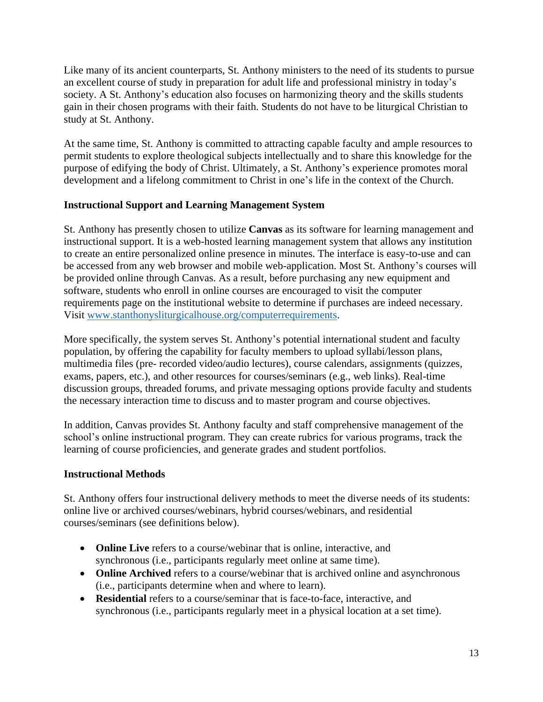Like many of its ancient counterparts, St. Anthony ministers to the need of its students to pursue an excellent course of study in preparation for adult life and professional ministry in today's society. A St. Anthony's education also focuses on harmonizing theory and the skills students gain in their chosen programs with their faith. Students do not have to be liturgical Christian to study at St. Anthony.

At the same time, St. Anthony is committed to attracting capable faculty and ample resources to permit students to explore theological subjects intellectually and to share this knowledge for the purpose of edifying the body of Christ. Ultimately, a St. Anthony's experience promotes moral development and a lifelong commitment to Christ in one's life in the context of the Church.

# **Instructional Support and Learning Management System**

St. Anthony has presently chosen to utilize **Canvas** as its software for learning management and instructional support. It is a web-hosted learning management system that allows any institution to create an entire personalized online presence in minutes. The interface is easy-to-use and can be accessed from any web browser and mobile web-application. Most St. Anthony's courses will be provided online through Canvas. As a result, before purchasing any new equipment and software, students who enroll in online courses are encouraged to visit the computer requirements page on the institutional website to determine if purchases are indeed necessary. Visit [www.stanthonysliturgicalhouse.org/computerrequirements.](http://www.stanthonysliturgicalhouse.org/computerrequirements)

More specifically, the system serves St. Anthony's potential international student and faculty population, by offering the capability for faculty members to upload syllabi/lesson plans, multimedia files (pre- recorded video/audio lectures), course calendars, assignments (quizzes, exams, papers, etc.), and other resources for courses/seminars (e.g., web links). Real-time discussion groups, threaded forums, and private messaging options provide faculty and students the necessary interaction time to discuss and to master program and course objectives.

In addition, Canvas provides St. Anthony faculty and staff comprehensive management of the school's online instructional program. They can create rubrics for various programs, track the learning of course proficiencies, and generate grades and student portfolios.

#### **Instructional Methods**

St. Anthony offers four instructional delivery methods to meet the diverse needs of its students: online live or archived courses/webinars, hybrid courses/webinars, and residential courses/seminars (see definitions below).

- **Online Live** refers to a course/webinar that is online, interactive, and synchronous (i.e., participants regularly meet online at same time).
- **Online Archived** refers to a course/webinar that is archived online and asynchronous (i.e., participants determine when and where to learn).
- **Residential** refers to a course/seminar that is face-to-face, interactive, and synchronous (i.e., participants regularly meet in a physical location at a set time).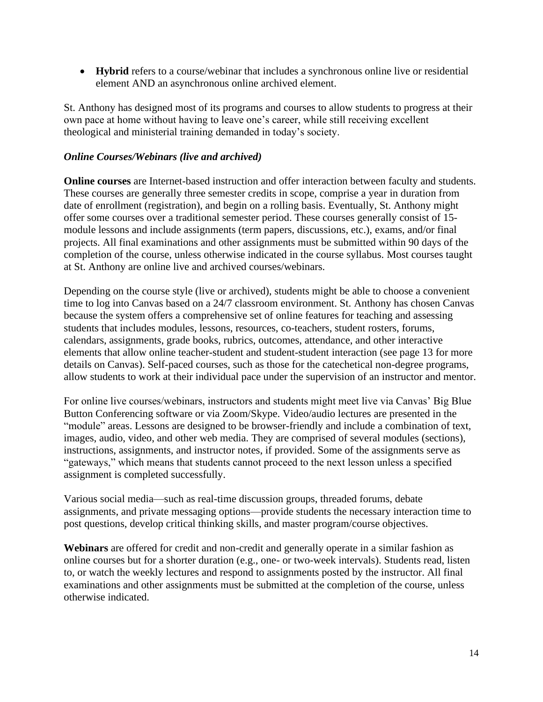• **Hybrid** refers to a course/webinar that includes a synchronous online live or residential element AND an asynchronous online archived element.

St. Anthony has designed most of its programs and courses to allow students to progress at their own pace at home without having to leave one's career, while still receiving excellent theological and ministerial training demanded in today's society.

#### *Online Courses/Webinars (live and archived)*

**Online courses** are Internet-based instruction and offer interaction between faculty and students. These courses are generally three semester credits in scope, comprise a year in duration from date of enrollment (registration), and begin on a rolling basis. Eventually, St. Anthony might offer some courses over a traditional semester period. These courses generally consist of 15 module lessons and include assignments (term papers, discussions, etc.), exams, and/or final projects. All final examinations and other assignments must be submitted within 90 days of the completion of the course, unless otherwise indicated in the course syllabus. Most courses taught at St. Anthony are online live and archived courses/webinars.

Depending on the course style (live or archived), students might be able to choose a convenient time to log into Canvas based on a 24/7 classroom environment. St. Anthony has chosen Canvas because the system offers a comprehensive set of online features for teaching and assessing students that includes modules, lessons, resources, co-teachers, student rosters, forums, calendars, assignments, grade books, rubrics, outcomes, attendance, and other interactive elements that allow online teacher-student and student-student interaction (see page 13 for more details on Canvas). Self-paced courses, such as those for the catechetical non-degree programs, allow students to work at their individual pace under the supervision of an instructor and mentor.

For online live courses/webinars, instructors and students might meet live via Canvas' Big Blue Button Conferencing software or via Zoom/Skype. Video/audio lectures are presented in the "module" areas. Lessons are designed to be browser-friendly and include a combination of text, images, audio, video, and other web media. They are comprised of several modules (sections), instructions, assignments, and instructor notes, if provided. Some of the assignments serve as "gateways," which means that students cannot proceed to the next lesson unless a specified assignment is completed successfully.

Various social media—such as real-time discussion groups, threaded forums, debate assignments, and private messaging options—provide students the necessary interaction time to post questions, develop critical thinking skills, and master program/course objectives.

**Webinars** are offered for credit and non-credit and generally operate in a similar fashion as online courses but for a shorter duration (e.g., one- or two-week intervals). Students read, listen to, or watch the weekly lectures and respond to assignments posted by the instructor. All final examinations and other assignments must be submitted at the completion of the course, unless otherwise indicated.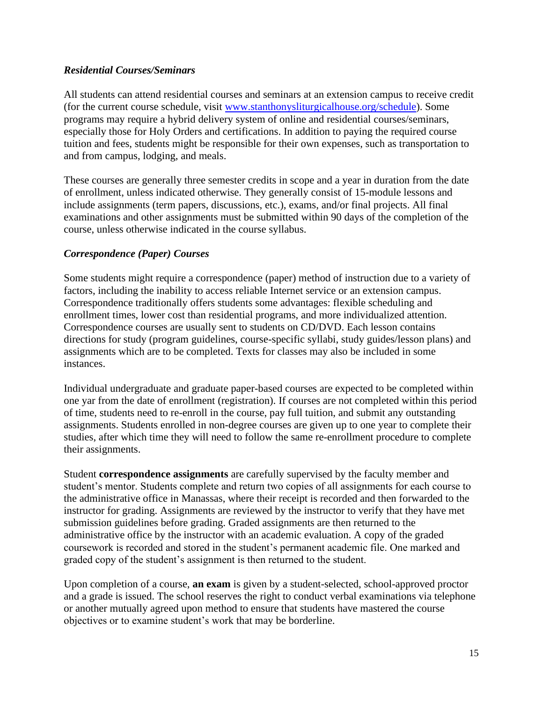#### *Residential Courses/Seminars*

All students can attend residential courses and seminars at an extension campus to receive credit (for the current course schedule, visit [www.stanthonysliturgicalhouse.org/schedule\)](http://www.stanthonysliturgicalhouse.org/schedule). Some programs may require a hybrid delivery system of online and residential courses/seminars, especially those for Holy Orders and certifications. In addition to paying the required course tuition and fees, students might be responsible for their own expenses, such as transportation to and from campus, lodging, and meals.

These courses are generally three semester credits in scope and a year in duration from the date of enrollment, unless indicated otherwise. They generally consist of 15-module lessons and include assignments (term papers, discussions, etc.), exams, and/or final projects. All final examinations and other assignments must be submitted within 90 days of the completion of the course, unless otherwise indicated in the course syllabus.

#### *Correspondence (Paper) Courses*

Some students might require a correspondence (paper) method of instruction due to a variety of factors, including the inability to access reliable Internet service or an extension campus. Correspondence traditionally offers students some advantages: flexible scheduling and enrollment times, lower cost than residential programs, and more individualized attention. Correspondence courses are usually sent to students on CD/DVD. Each lesson contains directions for study (program guidelines, course-specific syllabi, study guides/lesson plans) and assignments which are to be completed. Texts for classes may also be included in some instances.

Individual undergraduate and graduate paper-based courses are expected to be completed within one yar from the date of enrollment (registration). If courses are not completed within this period of time, students need to re-enroll in the course, pay full tuition, and submit any outstanding assignments. Students enrolled in non-degree courses are given up to one year to complete their studies, after which time they will need to follow the same re-enrollment procedure to complete their assignments.

Student **correspondence assignments** are carefully supervised by the faculty member and student's mentor. Students complete and return two copies of all assignments for each course to the administrative office in Manassas, where their receipt is recorded and then forwarded to the instructor for grading. Assignments are reviewed by the instructor to verify that they have met submission guidelines before grading. Graded assignments are then returned to the administrative office by the instructor with an academic evaluation. A copy of the graded coursework is recorded and stored in the student's permanent academic file. One marked and graded copy of the student's assignment is then returned to the student.

Upon completion of a course, **an exam** is given by a student-selected, school-approved proctor and a grade is issued. The school reserves the right to conduct verbal examinations via telephone or another mutually agreed upon method to ensure that students have mastered the course objectives or to examine student's work that may be borderline.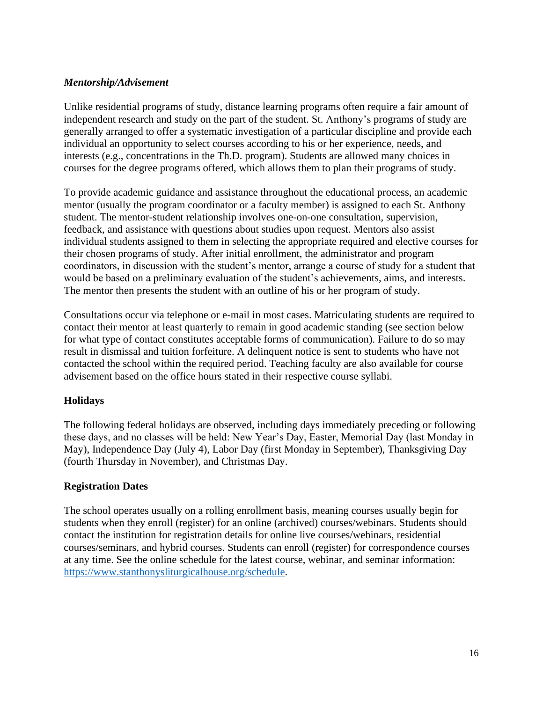#### *Mentorship/Advisement*

Unlike residential programs of study, distance learning programs often require a fair amount of independent research and study on the part of the student. St. Anthony's programs of study are generally arranged to offer a systematic investigation of a particular discipline and provide each individual an opportunity to select courses according to his or her experience, needs, and interests (e.g., concentrations in the Th.D. program). Students are allowed many choices in courses for the degree programs offered, which allows them to plan their programs of study.

To provide academic guidance and assistance throughout the educational process, an academic mentor (usually the program coordinator or a faculty member) is assigned to each St. Anthony student. The mentor-student relationship involves one-on-one consultation, supervision, feedback, and assistance with questions about studies upon request. Mentors also assist individual students assigned to them in selecting the appropriate required and elective courses for their chosen programs of study. After initial enrollment, the administrator and program coordinators, in discussion with the student's mentor, arrange a course of study for a student that would be based on a preliminary evaluation of the student's achievements, aims, and interests. The mentor then presents the student with an outline of his or her program of study.

Consultations occur via telephone or e-mail in most cases. Matriculating students are required to contact their mentor at least quarterly to remain in good academic standing (see section below for what type of contact constitutes acceptable forms of communication). Failure to do so may result in dismissal and tuition forfeiture. A delinquent notice is sent to students who have not contacted the school within the required period. Teaching faculty are also available for course advisement based on the office hours stated in their respective course syllabi.

#### **Holidays**

The following federal holidays are observed, including days immediately preceding or following these days, and no classes will be held: New Year's Day, Easter, Memorial Day (last Monday in May), Independence Day (July 4), Labor Day (first Monday in September), Thanksgiving Day (fourth Thursday in November), and Christmas Day.

#### **Registration Dates**

The school operates usually on a rolling enrollment basis, meaning courses usually begin for students when they enroll (register) for an online (archived) courses/webinars. Students should contact the institution for registration details for online live courses/webinars, residential courses/seminars, and hybrid courses. Students can enroll (register) for correspondence courses at any time. See the online schedule for the latest course, webinar, and seminar information: [https://www.stanthonysliturgicalhouse.org/schedule.](https://www.stanthonysliturgicalhouse.org/schedule)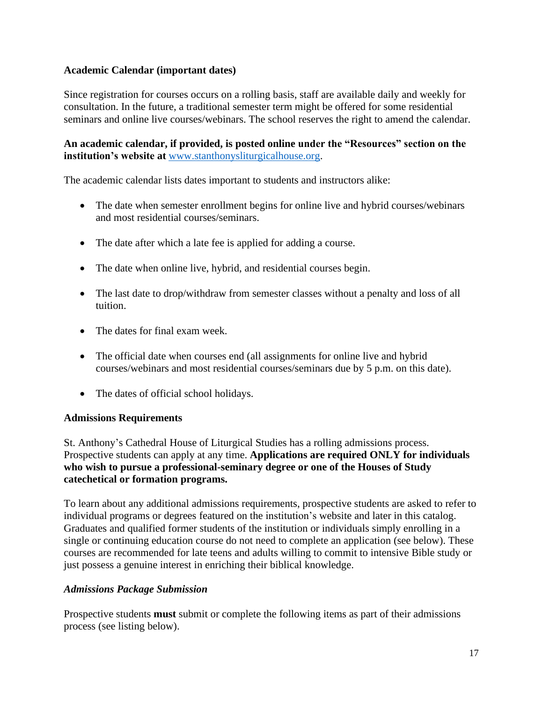# **Academic Calendar (important dates)**

Since registration for courses occurs on a rolling basis, staff are available daily and weekly for consultation. In the future, a traditional semester term might be offered for some residential seminars and online live courses/webinars. The school reserves the right to amend the calendar.

# **An academic calendar, if provided, is posted online under the "Resources" section on the institution's website at** [www.stanthonysliturgicalhouse.org.](http://www.stanthonysliturgicalhouse.org/)

The academic calendar lists dates important to students and instructors alike:

- The date when semester enrollment begins for online live and hybrid courses/webinars and most residential courses/seminars.
- The date after which a late fee is applied for adding a course.
- The date when online live, hybrid, and residential courses begin.
- The last date to drop/withdraw from semester classes without a penalty and loss of all tuition.
- The dates for final exam week.
- The official date when courses end (all assignments for online live and hybrid courses/webinars and most residential courses/seminars due by 5 p.m. on this date).
- The dates of official school holidays.

#### **Admissions Requirements**

St. Anthony's Cathedral House of Liturgical Studies has a rolling admissions process. Prospective students can apply at any time. **Applications are required ONLY for individuals who wish to pursue a professional-seminary degree or one of the Houses of Study catechetical or formation programs.**

To learn about any additional admissions requirements, prospective students are asked to refer to individual programs or degrees featured on the institution's website and later in this catalog. Graduates and qualified former students of the institution or individuals simply enrolling in a single or continuing education course do not need to complete an application (see below). These courses are recommended for late teens and adults willing to commit to intensive Bible study or just possess a genuine interest in enriching their biblical knowledge.

#### *Admissions Package Submission*

Prospective students **must** submit or complete the following items as part of their admissions process (see listing below).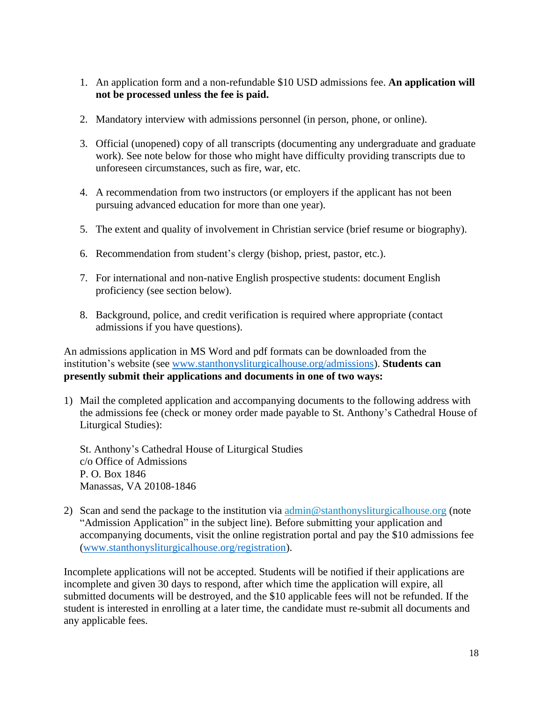- 1. An application form and a non-refundable \$10 USD admissions fee. **An application will not be processed unless the fee is paid.**
- 2. Mandatory interview with admissions personnel (in person, phone, or online).
- 3. Official (unopened) copy of all transcripts (documenting any undergraduate and graduate work). See note below for those who might have difficulty providing transcripts due to unforeseen circumstances, such as fire, war, etc.
- 4. A recommendation from two instructors (or employers if the applicant has not been pursuing advanced education for more than one year).
- 5. The extent and quality of involvement in Christian service (brief resume or biography).
- 6. Recommendation from student's clergy (bishop, priest, pastor, etc.).
- 7. For international and non-native English prospective students: document English proficiency (see section below).
- 8. Background, police, and credit verification is required where appropriate (contact admissions if you have questions).

An admissions application in MS Word and pdf formats can be downloaded from the institution's website (see [www.stanthonysliturgicalhouse.org/admissions\)](http://www.stanthonysliturgicalhouse.org/admissions). **Students can presently submit their applications and documents in one of two ways:**

1) Mail the completed application and accompanying documents to the following address with the admissions fee (check or money order made payable to St. Anthony's Cathedral House of Liturgical Studies):

St. Anthony's Cathedral House of Liturgical Studies c/o Office of Admissions P. O. Box 1846 Manassas, VA 20108-1846

2) Scan and send the package to the institution via [admin@stanthonysliturgicalhouse.org](mailto:admin@stanthonysliturgicalhouse.org?subject=Admission%20Application) (note "Admission Application" in the subject line). Before submitting your application and accompanying documents, visit the online registration portal and pay the \$10 admissions fee [\(www.stanthonysliturgicalhouse.org/registration\)](http://www.stanthonysliturgicalhouse.org/registration).

Incomplete applications will not be accepted. Students will be notified if their applications are incomplete and given 30 days to respond, after which time the application will expire, all submitted documents will be destroyed, and the \$10 applicable fees will not be refunded. If the student is interested in enrolling at a later time, the candidate must re-submit all documents and any applicable fees.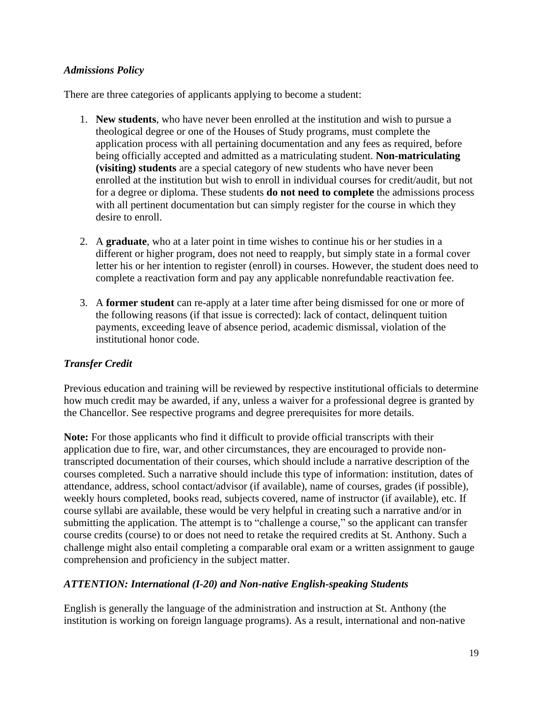#### *Admissions Policy*

There are three categories of applicants applying to become a student:

- 1. **New students**, who have never been enrolled at the institution and wish to pursue a theological degree or one of the Houses of Study programs, must complete the application process with all pertaining documentation and any fees as required, before being officially accepted and admitted as a matriculating student. **Non-matriculating (visiting) students** are a special category of new students who have never been enrolled at the institution but wish to enroll in individual courses for credit/audit, but not for a degree or diploma. These students **do not need to complete** the admissions process with all pertinent documentation but can simply register for the course in which they desire to enroll.
- 2. A **graduate**, who at a later point in time wishes to continue his or her studies in a different or higher program, does not need to reapply, but simply state in a formal cover letter his or her intention to register (enroll) in courses. However, the student does need to complete a reactivation form and pay any applicable nonrefundable reactivation fee.
- 3. A **former student** can re-apply at a later time after being dismissed for one or more of the following reasons (if that issue is corrected): lack of contact, delinquent tuition payments, exceeding leave of absence period, academic dismissal, violation of the institutional honor code.

#### *Transfer Credit*

Previous education and training will be reviewed by respective institutional officials to determine how much credit may be awarded, if any, unless a waiver for a professional degree is granted by the Chancellor. See respective programs and degree prerequisites for more details.

**Note:** For those applicants who find it difficult to provide official transcripts with their application due to fire, war, and other circumstances, they are encouraged to provide nontranscripted documentation of their courses, which should include a narrative description of the courses completed. Such a narrative should include this type of information: institution, dates of attendance, address, school contact/advisor (if available), name of courses, grades (if possible), weekly hours completed, books read, subjects covered, name of instructor (if available), etc. If course syllabi are available, these would be very helpful in creating such a narrative and/or in submitting the application. The attempt is to "challenge a course," so the applicant can transfer course credits (course) to or does not need to retake the required credits at St. Anthony. Such a challenge might also entail completing a comparable oral exam or a written assignment to gauge comprehension and proficiency in the subject matter.

#### *ATTENTION: International (I-20) and Non-native English-speaking Students*

English is generally the language of the administration and instruction at St. Anthony (the institution is working on foreign language programs). As a result, international and non-native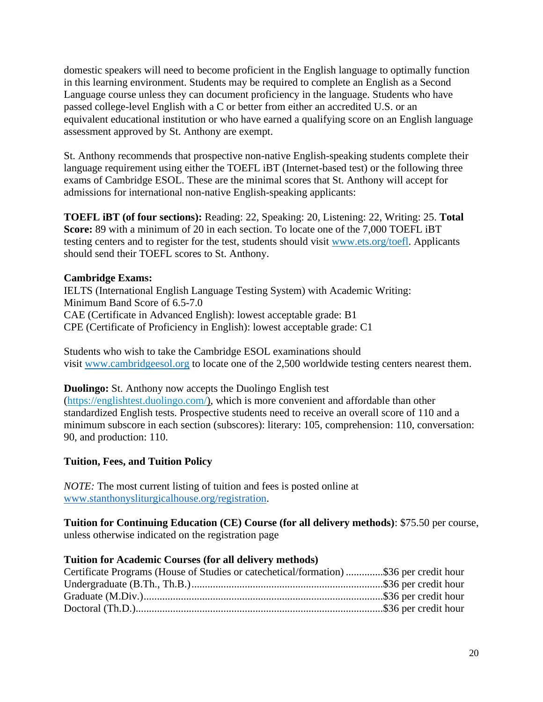domestic speakers will need to become proficient in the English language to optimally function in this learning environment. Students may be required to complete an English as a Second Language course unless they can document proficiency in the language. Students who have passed college-level English with a C or better from either an accredited U.S. or an equivalent educational institution or who have earned a qualifying score on an English language assessment approved by St. Anthony are exempt.

St. Anthony recommends that prospective non-native English-speaking students complete their language requirement using either the TOEFL iBT (Internet-based test) or the following three exams of Cambridge ESOL. These are the minimal scores that St. Anthony will accept for admissions for international non-native English-speaking applicants:

**TOEFL iBT (of four sections):** Reading: 22, Speaking: 20, Listening: 22, Writing: 25. **Total Score:** 89 with a minimum of 20 in each section. To locate one of the 7,000 TOEFL iBT testing centers and to register for the test, students should visit [www.ets.org/toefl.](http://www.ets.org/toefl) Applicants should send their TOEFL scores to St. Anthony.

#### **Cambridge Exams:**

IELTS (International English Language Testing System) with Academic Writing: Minimum Band Score of 6.5-7.0 CAE (Certificate in Advanced English): lowest acceptable grade: B1 CPE (Certificate of Proficiency in English): lowest acceptable grade: C1

Students who wish to take the Cambridge ESOL examinations should visit [www.cambridgeesol.org](http://www.cambridgeesol.org/) to locate one of the 2,500 worldwide testing centers nearest them.

**Duolingo:** St. Anthony now accepts the Duolingo English test

(https://englishtest.duolingo.com/), which is more convenient and affordable than other standardized English tests. Prospective students need to receive an overall score of 110 and a minimum subscore in each section (subscores): literary: 105, comprehension: 110, conversation: 90, and production: 110.

#### **Tuition, Fees, and Tuition Policy**

*NOTE:* The most current listing of tuition and fees is posted online at [www.stanthonysliturgicalhouse.org/registration.](https://www.stanthonysliturgicalhouse.org/registration)

**Tuition for Continuing Education (CE) Course (for all delivery methods)**: \$75.50 per course, unless otherwise indicated on the registration page

#### **Tuition for Academic Courses (for all delivery methods)**

| Certificate Programs (House of Studies or catechetical/formation)\$36 per credit hour |  |
|---------------------------------------------------------------------------------------|--|
|                                                                                       |  |
|                                                                                       |  |
|                                                                                       |  |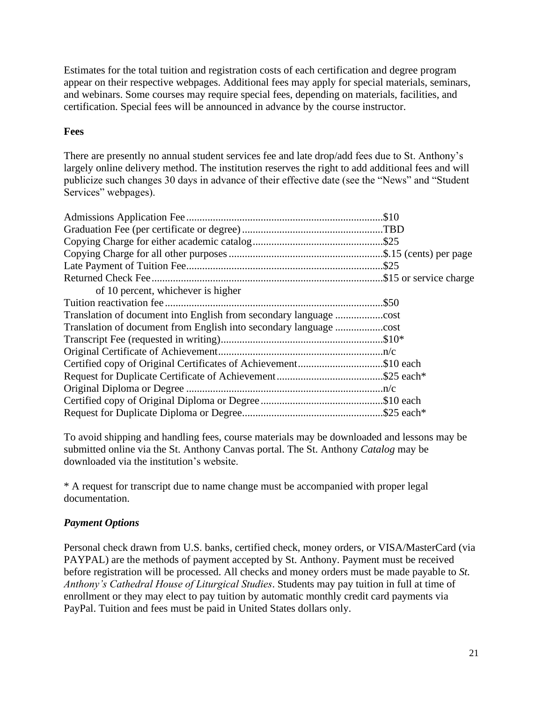Estimates for the total tuition and registration costs of each certification and degree program appear on their respective webpages. Additional fees may apply for special materials, seminars, and webinars. Some courses may require special fees, depending on materials, facilities, and certification. Special fees will be announced in advance by the course instructor.

# **Fees**

There are presently no annual student services fee and late drop/add fees due to St. Anthony's largely online delivery method. The institution reserves the right to add additional fees and will publicize such changes 30 days in advance of their effective date (see the "News" and "Student Services" webpages).

| of 10 percent, whichever is higher                              |  |
|-----------------------------------------------------------------|--|
|                                                                 |  |
|                                                                 |  |
|                                                                 |  |
|                                                                 |  |
|                                                                 |  |
| Certified copy of Original Certificates of Achievement\$10 each |  |
|                                                                 |  |
|                                                                 |  |
|                                                                 |  |
|                                                                 |  |

To avoid shipping and handling fees, course materials may be downloaded and lessons may be submitted online via the St. Anthony Canvas portal. The St. Anthony *Catalog* may be downloaded via the institution's website.

\* A request for transcript due to name change must be accompanied with proper legal documentation.

#### *Payment Options*

Personal check drawn from U.S. banks, certified check, money orders, or VISA/MasterCard (via PAYPAL) are the methods of payment accepted by St. Anthony. Payment must be received before registration will be processed. All checks and money orders must be made payable to *St. Anthony's Cathedral House of Liturgical Studies*. Students may pay tuition in full at time of enrollment or they may elect to pay tuition by automatic monthly credit card payments via PayPal. Tuition and fees must be paid in United States dollars only.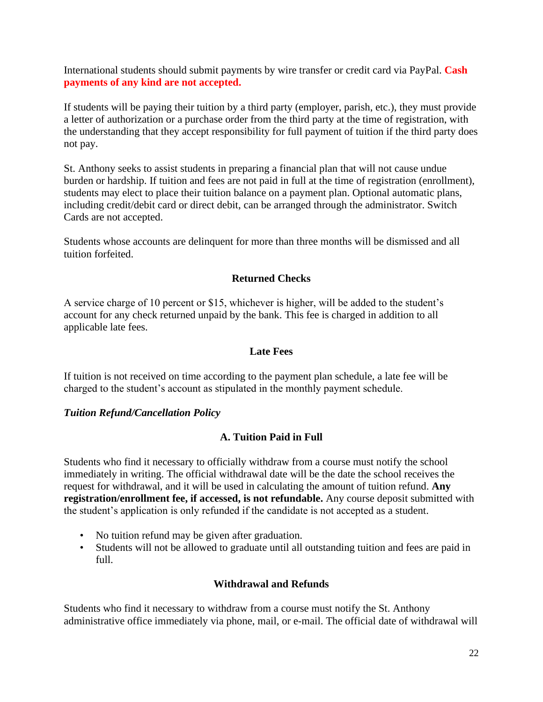International students should submit payments by wire transfer or credit card via PayPal. **Cash payments of any kind are not accepted.** 

If students will be paying their tuition by a third party (employer, parish, etc.), they must provide a letter of authorization or a purchase order from the third party at the time of registration, with the understanding that they accept responsibility for full payment of tuition if the third party does not pay.

St. Anthony seeks to assist students in preparing a financial plan that will not cause undue burden or hardship. If tuition and fees are not paid in full at the time of registration (enrollment), students may elect to place their tuition balance on a payment plan. Optional automatic plans, including credit/debit card or direct debit, can be arranged through the administrator. Switch Cards are not accepted.

Students whose accounts are delinquent for more than three months will be dismissed and all tuition forfeited.

#### **Returned Checks**

A service charge of 10 percent or \$15, whichever is higher, will be added to the student's account for any check returned unpaid by the bank. This fee is charged in addition to all applicable late fees.

#### **Late Fees**

If tuition is not received on time according to the payment plan schedule, a late fee will be charged to the student's account as stipulated in the monthly payment schedule.

#### *Tuition Refund/Cancellation Policy*

#### **A. Tuition Paid in Full**

Students who find it necessary to officially withdraw from a course must notify the school immediately in writing. The official withdrawal date will be the date the school receives the request for withdrawal, and it will be used in calculating the amount of tuition refund. **Any registration/enrollment fee, if accessed, is not refundable.** Any course deposit submitted with the student's application is only refunded if the candidate is not accepted as a student.

- No tuition refund may be given after graduation.
- Students will not be allowed to graduate until all outstanding tuition and fees are paid in full.

#### **Withdrawal and Refunds**

Students who find it necessary to withdraw from a course must notify the St. Anthony administrative office immediately via phone, mail, or e-mail. The official date of withdrawal will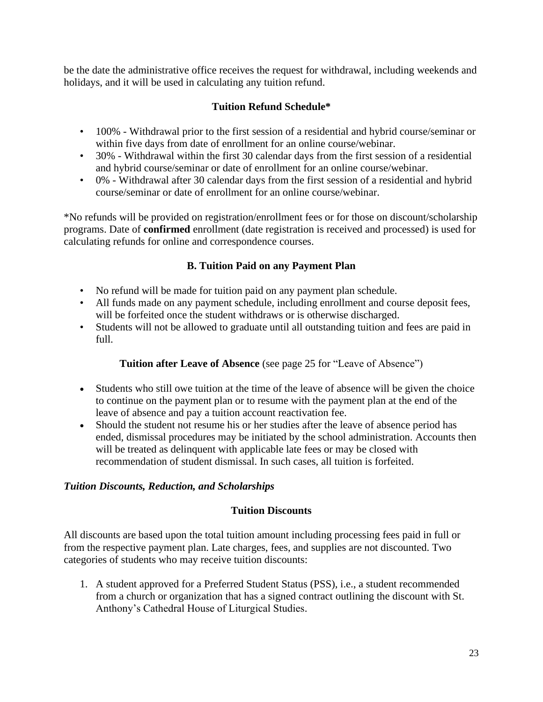be the date the administrative office receives the request for withdrawal, including weekends and holidays, and it will be used in calculating any tuition refund.

# **Tuition Refund Schedule\***

- 100% Withdrawal prior to the first session of a residential and hybrid course/seminar or within five days from date of enrollment for an online course/webinar.
- 30% Withdrawal within the first 30 calendar days from the first session of a residential and hybrid course/seminar or date of enrollment for an online course/webinar.
- 0% Withdrawal after 30 calendar days from the first session of a residential and hybrid course/seminar or date of enrollment for an online course/webinar.

\*No refunds will be provided on registration/enrollment fees or for those on discount/scholarship programs. Date of **confirmed** enrollment (date registration is received and processed) is used for calculating refunds for online and correspondence courses.

# **B. Tuition Paid on any Payment Plan**

- No refund will be made for tuition paid on any payment plan schedule.
- All funds made on any payment schedule, including enrollment and course deposit fees, will be forfeited once the student withdraws or is otherwise discharged.
- Students will not be allowed to graduate until all outstanding tuition and fees are paid in full.

#### **Tuition after Leave of Absence** (see page 25 for "Leave of Absence")

- Students who still owe tuition at the time of the leave of absence will be given the choice to continue on the payment plan or to resume with the payment plan at the end of the leave of absence and pay a tuition account reactivation fee.
- Should the student not resume his or her studies after the leave of absence period has ended, dismissal procedures may be initiated by the school administration. Accounts then will be treated as delinquent with applicable late fees or may be closed with recommendation of student dismissal. In such cases, all tuition is forfeited.

#### *Tuition Discounts, Reduction, and Scholarships*

#### **Tuition Discounts**

All discounts are based upon the total tuition amount including processing fees paid in full or from the respective payment plan. Late charges, fees, and supplies are not discounted. Two categories of students who may receive tuition discounts:

1. A student approved for a Preferred Student Status (PSS), i.e., a student recommended from a church or organization that has a signed contract outlining the discount with St. Anthony's Cathedral House of Liturgical Studies.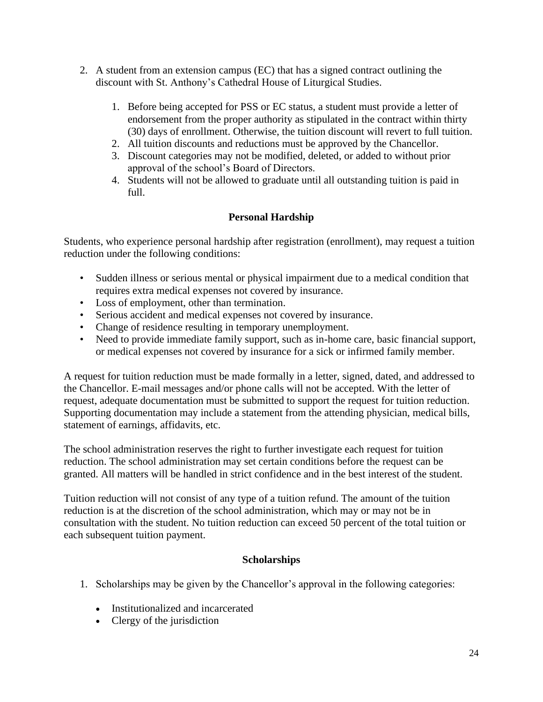- 2. A student from an extension campus (EC) that has a signed contract outlining the discount with St. Anthony's Cathedral House of Liturgical Studies.
	- 1. Before being accepted for PSS or EC status, a student must provide a letter of endorsement from the proper authority as stipulated in the contract within thirty (30) days of enrollment. Otherwise, the tuition discount will revert to full tuition.
	- 2. All tuition discounts and reductions must be approved by the Chancellor.
	- 3. Discount categories may not be modified, deleted, or added to without prior approval of the school's Board of Directors.
	- 4. Students will not be allowed to graduate until all outstanding tuition is paid in full.

# **Personal Hardship**

Students, who experience personal hardship after registration (enrollment), may request a tuition reduction under the following conditions:

- Sudden illness or serious mental or physical impairment due to a medical condition that requires extra medical expenses not covered by insurance.
- Loss of employment, other than termination.
- Serious accident and medical expenses not covered by insurance.
- Change of residence resulting in temporary unemployment.
- Need to provide immediate family support, such as in-home care, basic financial support, or medical expenses not covered by insurance for a sick or infirmed family member.

A request for tuition reduction must be made formally in a letter, signed, dated, and addressed to the Chancellor. E-mail messages and/or phone calls will not be accepted. With the letter of request, adequate documentation must be submitted to support the request for tuition reduction. Supporting documentation may include a statement from the attending physician, medical bills, statement of earnings, affidavits, etc.

The school administration reserves the right to further investigate each request for tuition reduction. The school administration may set certain conditions before the request can be granted. All matters will be handled in strict confidence and in the best interest of the student.

Tuition reduction will not consist of any type of a tuition refund. The amount of the tuition reduction is at the discretion of the school administration, which may or may not be in consultation with the student. No tuition reduction can exceed 50 percent of the total tuition or each subsequent tuition payment.

# **Scholarships**

- 1. Scholarships may be given by the Chancellor's approval in the following categories:
	- Institutionalized and incarcerated
	- Clergy of the jurisdiction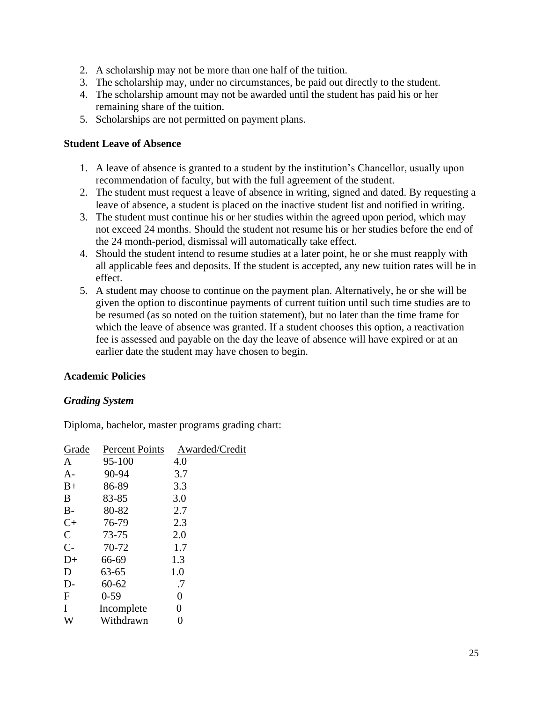- 2. A scholarship may not be more than one half of the tuition.
- 3. The scholarship may, under no circumstances, be paid out directly to the student.
- 4. The scholarship amount may not be awarded until the student has paid his or her remaining share of the tuition.
- 5. Scholarships are not permitted on payment plans.

#### **Student Leave of Absence**

- 1. A leave of absence is granted to a student by the institution's Chancellor, usually upon recommendation of faculty, but with the full agreement of the student.
- 2. The student must request a leave of absence in writing, signed and dated. By requesting a leave of absence, a student is placed on the inactive student list and notified in writing.
- 3. The student must continue his or her studies within the agreed upon period, which may not exceed 24 months. Should the student not resume his or her studies before the end of the 24 month-period, dismissal will automatically take effect.
- 4. Should the student intend to resume studies at a later point, he or she must reapply with all applicable fees and deposits. If the student is accepted, any new tuition rates will be in effect.
- 5. A student may choose to continue on the payment plan. Alternatively, he or she will be given the option to discontinue payments of current tuition until such time studies are to be resumed (as so noted on the tuition statement), but no later than the time frame for which the leave of absence was granted. If a student chooses this option, a reactivation fee is assessed and payable on the day the leave of absence will have expired or at an earlier date the student may have chosen to begin.

#### **Academic Policies**

#### *Grading System*

Diploma, bachelor, master programs grading chart:

| Grade        | <b>Percent Points</b> | Awarded/Credit |
|--------------|-----------------------|----------------|
| A            | 95-100                | 4.0            |
| $A-$         | 90-94                 | 3.7            |
| $B+$         | 86-89                 | 3.3            |
| B            | 83-85                 | 3.0            |
| $B-$         | 80-82                 | 2.7            |
| $C+$         | 76-79                 | 2.3            |
| $\mathsf{C}$ | 73-75                 | 2.0            |
| $C-$         | 70-72                 | 1.7            |
| $D+$         | 66-69                 | 1.3            |
| D            | 63-65                 | 1.0            |
| $D-$         | $60 - 62$             | .7             |
| $\mathbf{F}$ | $0 - 59$              | 0              |
| I            | Incomplete            | 0              |
| W            | Withdrawn             | 0              |
|              |                       |                |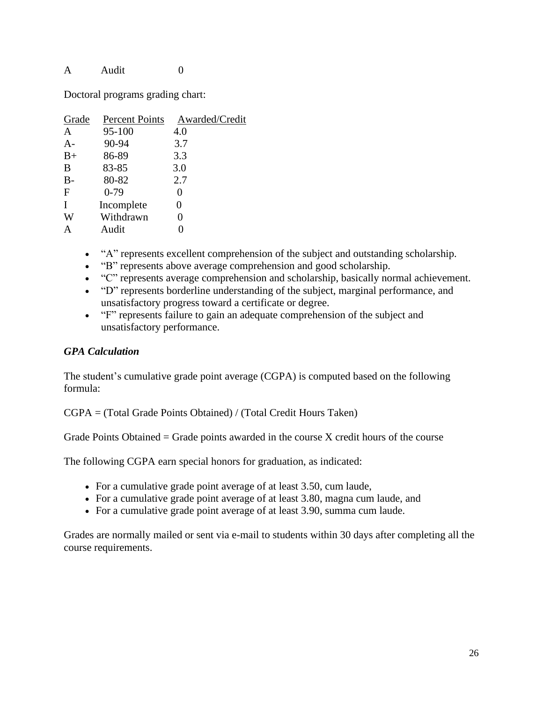A Audit 0

Doctoral programs grading chart:

| Grade | <b>Percent Points</b> | Awarded/Credit |
|-------|-----------------------|----------------|
| A     | 95-100                | 4.0            |
| $A-$  | 90-94                 | 3.7            |
| $B+$  | 86-89                 | 3.3            |
| B     | 83-85                 | 3.0            |
| $B -$ | 80-82                 | 2.7            |
| F     | $0-79$                | 0              |
| I     | Incomplete            | 0              |
| W     | Withdrawn             | 0              |
|       | Audit                 | $\mathcal{L}$  |

- "A" represents excellent comprehension of the subject and outstanding scholarship.
- "B" represents above average comprehension and good scholarship.
- "C" represents average comprehension and scholarship, basically normal achievement.
- "D" represents borderline understanding of the subject, marginal performance, and unsatisfactory progress toward a certificate or degree.
- "F" represents failure to gain an adequate comprehension of the subject and unsatisfactory performance.

#### *GPA Calculation*

The student's cumulative grade point average (CGPA) is computed based on the following formula:

CGPA = (Total Grade Points Obtained) / (Total Credit Hours Taken)

Grade Points Obtained  $=$  Grade points awarded in the course  $X$  credit hours of the course

The following CGPA earn special honors for graduation, as indicated:

- For a cumulative grade point average of at least 3.50, cum laude,
- For a cumulative grade point average of at least 3.80, magna cum laude, and
- For a cumulative grade point average of at least 3.90, summa cum laude.

Grades are normally mailed or sent via e-mail to students within 30 days after completing all the course requirements.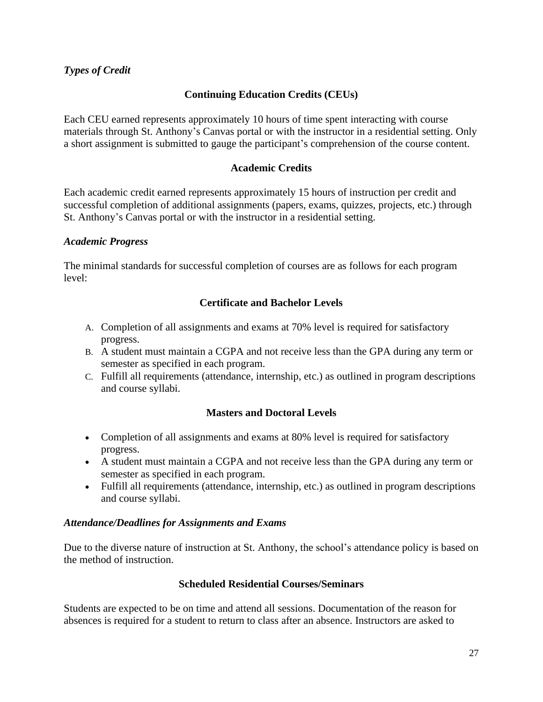#### *Types of Credit*

# **Continuing Education Credits (CEUs)**

Each CEU earned represents approximately 10 hours of time spent interacting with course materials through St. Anthony's Canvas portal or with the instructor in a residential setting. Only a short assignment is submitted to gauge the participant's comprehension of the course content.

#### **Academic Credits**

Each academic credit earned represents approximately 15 hours of instruction per credit and successful completion of additional assignments (papers, exams, quizzes, projects, etc.) through St. Anthony's Canvas portal or with the instructor in a residential setting.

#### *Academic Progress*

The minimal standards for successful completion of courses are as follows for each program level:

#### **Certificate and Bachelor Levels**

- A. Completion of all assignments and exams at 70% level is required for satisfactory progress.
- B. A student must maintain a CGPA and not receive less than the GPA during any term or semester as specified in each program.
- C. Fulfill all requirements (attendance, internship, etc.) as outlined in program descriptions and course syllabi.

#### **Masters and Doctoral Levels**

- Completion of all assignments and exams at 80% level is required for satisfactory progress.
- A student must maintain a CGPA and not receive less than the GPA during any term or semester as specified in each program.
- Fulfill all requirements (attendance, internship, etc.) as outlined in program descriptions and course syllabi.

#### *Attendance/Deadlines for Assignments and Exams*

Due to the diverse nature of instruction at St. Anthony, the school's attendance policy is based on the method of instruction.

#### **Scheduled Residential Courses/Seminars**

Students are expected to be on time and attend all sessions. Documentation of the reason for absences is required for a student to return to class after an absence. Instructors are asked to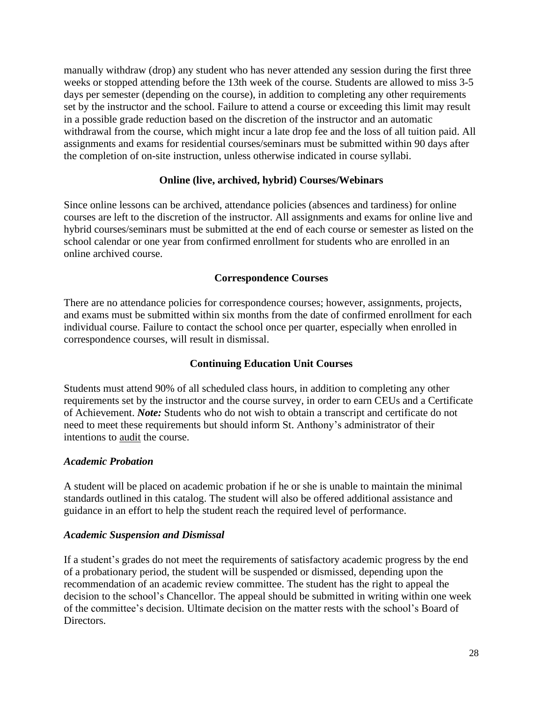manually withdraw (drop) any student who has never attended any session during the first three weeks or stopped attending before the 13th week of the course. Students are allowed to miss 3-5 days per semester (depending on the course), in addition to completing any other requirements set by the instructor and the school. Failure to attend a course or exceeding this limit may result in a possible grade reduction based on the discretion of the instructor and an automatic withdrawal from the course, which might incur a late drop fee and the loss of all tuition paid. All assignments and exams for residential courses/seminars must be submitted within 90 days after the completion of on-site instruction, unless otherwise indicated in course syllabi.

#### **Online (live, archived, hybrid) Courses/Webinars**

Since online lessons can be archived, attendance policies (absences and tardiness) for online courses are left to the discretion of the instructor. All assignments and exams for online live and hybrid courses/seminars must be submitted at the end of each course or semester as listed on the school calendar or one year from confirmed enrollment for students who are enrolled in an online archived course.

#### **Correspondence Courses**

There are no attendance policies for correspondence courses; however, assignments, projects, and exams must be submitted within six months from the date of confirmed enrollment for each individual course. Failure to contact the school once per quarter, especially when enrolled in correspondence courses, will result in dismissal.

#### **Continuing Education Unit Courses**

Students must attend 90% of all scheduled class hours, in addition to completing any other requirements set by the instructor and the course survey, in order to earn CEUs and a Certificate of Achievement. *Note:* Students who do not wish to obtain a transcript and certificate do not need to meet these requirements but should inform St. Anthony's administrator of their intentions to audit the course.

#### *Academic Probation*

A student will be placed on academic probation if he or she is unable to maintain the minimal standards outlined in this catalog. The student will also be offered additional assistance and guidance in an effort to help the student reach the required level of performance.

#### *Academic Suspension and Dismissal*

If a student's grades do not meet the requirements of satisfactory academic progress by the end of a probationary period, the student will be suspended or dismissed, depending upon the recommendation of an academic review committee. The student has the right to appeal the decision to the school's Chancellor. The appeal should be submitted in writing within one week of the committee's decision. Ultimate decision on the matter rests with the school's Board of Directors.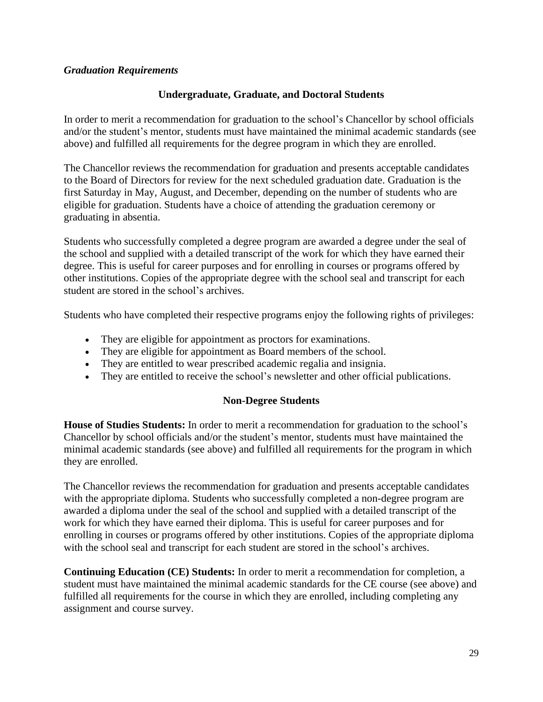#### *Graduation Requirements*

#### **Undergraduate, Graduate, and Doctoral Students**

In order to merit a recommendation for graduation to the school's Chancellor by school officials and/or the student's mentor, students must have maintained the minimal academic standards (see above) and fulfilled all requirements for the degree program in which they are enrolled.

The Chancellor reviews the recommendation for graduation and presents acceptable candidates to the Board of Directors for review for the next scheduled graduation date. Graduation is the first Saturday in May, August, and December, depending on the number of students who are eligible for graduation. Students have a choice of attending the graduation ceremony or graduating in absentia.

Students who successfully completed a degree program are awarded a degree under the seal of the school and supplied with a detailed transcript of the work for which they have earned their degree. This is useful for career purposes and for enrolling in courses or programs offered by other institutions. Copies of the appropriate degree with the school seal and transcript for each student are stored in the school's archives.

Students who have completed their respective programs enjoy the following rights of privileges:

- They are eligible for appointment as proctors for examinations.
- They are eligible for appointment as Board members of the school.
- They are entitled to wear prescribed academic regalia and insignia.
- They are entitled to receive the school's newsletter and other official publications.

#### **Non-Degree Students**

**House of Studies Students:** In order to merit a recommendation for graduation to the school's Chancellor by school officials and/or the student's mentor, students must have maintained the minimal academic standards (see above) and fulfilled all requirements for the program in which they are enrolled.

The Chancellor reviews the recommendation for graduation and presents acceptable candidates with the appropriate diploma. Students who successfully completed a non-degree program are awarded a diploma under the seal of the school and supplied with a detailed transcript of the work for which they have earned their diploma. This is useful for career purposes and for enrolling in courses or programs offered by other institutions. Copies of the appropriate diploma with the school seal and transcript for each student are stored in the school's archives.

**Continuing Education (CE) Students:** In order to merit a recommendation for completion, a student must have maintained the minimal academic standards for the CE course (see above) and fulfilled all requirements for the course in which they are enrolled, including completing any assignment and course survey.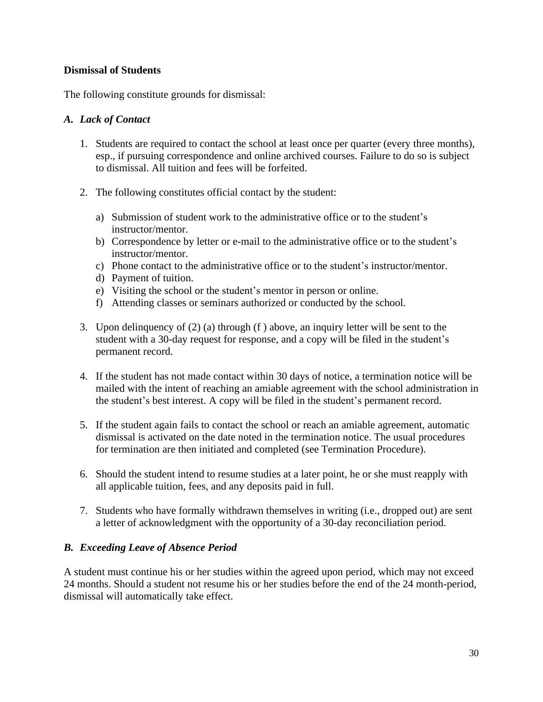#### **Dismissal of Students**

The following constitute grounds for dismissal:

#### *A. Lack of Contact*

- 1. Students are required to contact the school at least once per quarter (every three months), esp., if pursuing correspondence and online archived courses. Failure to do so is subject to dismissal. All tuition and fees will be forfeited.
- 2. The following constitutes official contact by the student:
	- a) Submission of student work to the administrative office or to the student's instructor/mentor.
	- b) Correspondence by letter or e-mail to the administrative office or to the student's instructor/mentor.
	- c) Phone contact to the administrative office or to the student's instructor/mentor.
	- d) Payment of tuition.
	- e) Visiting the school or the student's mentor in person or online.
	- f) Attending classes or seminars authorized or conducted by the school.
- 3. Upon delinquency of (2) (a) through (f ) above, an inquiry letter will be sent to the student with a 30-day request for response, and a copy will be filed in the student's permanent record.
- 4. If the student has not made contact within 30 days of notice, a termination notice will be mailed with the intent of reaching an amiable agreement with the school administration in the student's best interest. A copy will be filed in the student's permanent record.
- 5. If the student again fails to contact the school or reach an amiable agreement, automatic dismissal is activated on the date noted in the termination notice. The usual procedures for termination are then initiated and completed (see Termination Procedure).
- 6. Should the student intend to resume studies at a later point, he or she must reapply with all applicable tuition, fees, and any deposits paid in full.
- 7. Students who have formally withdrawn themselves in writing (i.e., dropped out) are sent a letter of acknowledgment with the opportunity of a 30-day reconciliation period.

#### *B. Exceeding Leave of Absence Period*

A student must continue his or her studies within the agreed upon period, which may not exceed 24 months. Should a student not resume his or her studies before the end of the 24 month-period, dismissal will automatically take effect.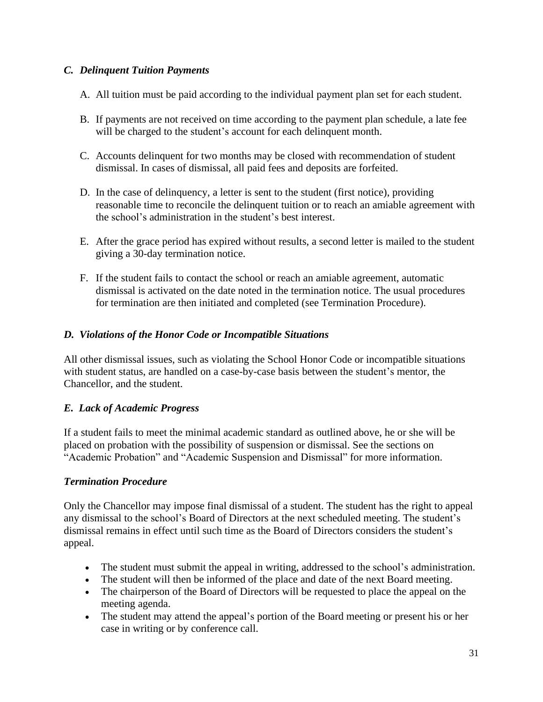# *C. Delinquent Tuition Payments*

- A. All tuition must be paid according to the individual payment plan set for each student.
- B. If payments are not received on time according to the payment plan schedule, a late fee will be charged to the student's account for each delinquent month.
- C. Accounts delinquent for two months may be closed with recommendation of student dismissal. In cases of dismissal, all paid fees and deposits are forfeited.
- D. In the case of delinquency, a letter is sent to the student (first notice), providing reasonable time to reconcile the delinquent tuition or to reach an amiable agreement with the school's administration in the student's best interest.
- E. After the grace period has expired without results, a second letter is mailed to the student giving a 30-day termination notice.
- F. If the student fails to contact the school or reach an amiable agreement, automatic dismissal is activated on the date noted in the termination notice. The usual procedures for termination are then initiated and completed (see Termination Procedure).

#### *D. Violations of the Honor Code or Incompatible Situations*

All other dismissal issues, such as violating the School Honor Code or incompatible situations with student status, are handled on a case-by-case basis between the student's mentor, the Chancellor, and the student.

# *E. Lack of Academic Progress*

If a student fails to meet the minimal academic standard as outlined above, he or she will be placed on probation with the possibility of suspension or dismissal. See the sections on "Academic Probation" and "Academic Suspension and Dismissal" for more information.

#### *Termination Procedure*

Only the Chancellor may impose final dismissal of a student. The student has the right to appeal any dismissal to the school's Board of Directors at the next scheduled meeting. The student's dismissal remains in effect until such time as the Board of Directors considers the student's appeal.

- The student must submit the appeal in writing, addressed to the school's administration.
- The student will then be informed of the place and date of the next Board meeting.
- The chairperson of the Board of Directors will be requested to place the appeal on the meeting agenda.
- The student may attend the appeal's portion of the Board meeting or present his or her case in writing or by conference call.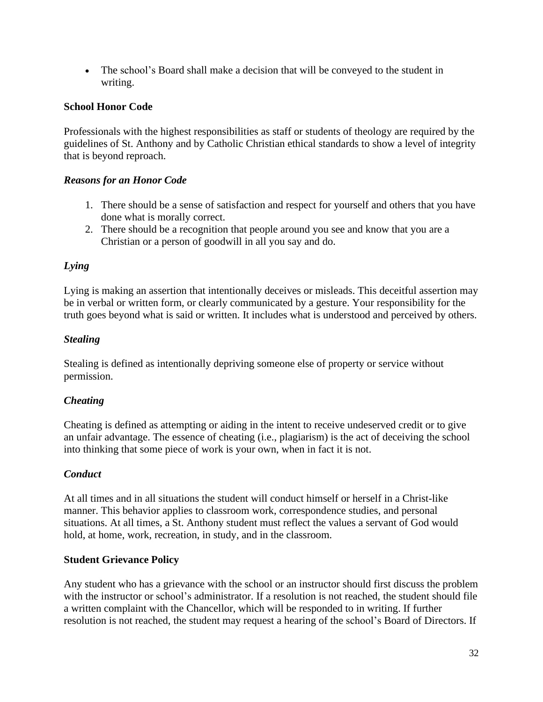• The school's Board shall make a decision that will be conveyed to the student in writing.

#### **School Honor Code**

Professionals with the highest responsibilities as staff or students of theology are required by the guidelines of St. Anthony and by Catholic Christian ethical standards to show a level of integrity that is beyond reproach.

#### *Reasons for an Honor Code*

- 1. There should be a sense of satisfaction and respect for yourself and others that you have done what is morally correct.
- 2. There should be a recognition that people around you see and know that you are a Christian or a person of goodwill in all you say and do.

#### *Lying*

Lying is making an assertion that intentionally deceives or misleads. This deceitful assertion may be in verbal or written form, or clearly communicated by a gesture. Your responsibility for the truth goes beyond what is said or written. It includes what is understood and perceived by others.

#### *Stealing*

Stealing is defined as intentionally depriving someone else of property or service without permission.

#### *Cheating*

Cheating is defined as attempting or aiding in the intent to receive undeserved credit or to give an unfair advantage. The essence of cheating (i.e., plagiarism) is the act of deceiving the school into thinking that some piece of work is your own, when in fact it is not.

#### *Conduct*

At all times and in all situations the student will conduct himself or herself in a Christ-like manner. This behavior applies to classroom work, correspondence studies, and personal situations. At all times, a St. Anthony student must reflect the values a servant of God would hold, at home, work, recreation, in study, and in the classroom.

#### **Student Grievance Policy**

Any student who has a grievance with the school or an instructor should first discuss the problem with the instructor or school's administrator. If a resolution is not reached, the student should file a written complaint with the Chancellor, which will be responded to in writing. If further resolution is not reached, the student may request a hearing of the school's Board of Directors. If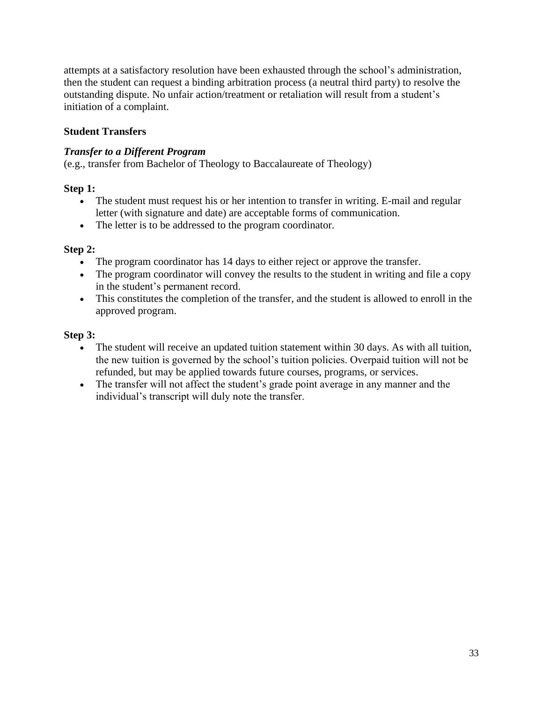attempts at a satisfactory resolution have been exhausted through the school's administration, then the student can request a binding arbitration process (a neutral third party) to resolve the outstanding dispute. No unfair action/treatment or retaliation will result from a student's initiation of a complaint.

# **Student Transfers**

#### *Transfer to a Different Program*

(e.g., transfer from Bachelor of Theology to Baccalaureate of Theology)

#### **Step 1:**

- The student must request his or her intention to transfer in writing. E-mail and regular letter (with signature and date) are acceptable forms of communication.
- The letter is to be addressed to the program coordinator.

#### **Step 2:**

- The program coordinator has 14 days to either reject or approve the transfer.
- The program coordinator will convey the results to the student in writing and file a copy in the student's permanent record.
- This constitutes the completion of the transfer, and the student is allowed to enroll in the approved program.

#### **Step 3:**

- The student will receive an updated tuition statement within 30 days. As with all tuition, the new tuition is governed by the school's tuition policies. Overpaid tuition will not be refunded, but may be applied towards future courses, programs, or services.
- The transfer will not affect the student's grade point average in any manner and the individual's transcript will duly note the transfer.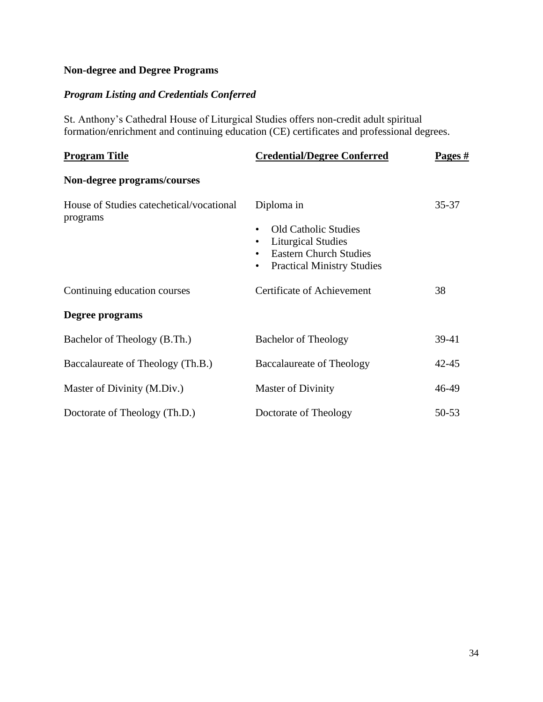# **Non-degree and Degree Programs**

# *Program Listing and Credentials Conferred*

St. Anthony's Cathedral House of Liturgical Studies offers non-credit adult spiritual formation/enrichment and continuing education (CE) certificates and professional degrees.

| <b>Program Title</b>                                  | <b>Credential/Degree Conferred</b>                                                                                                                        | Pages#    |
|-------------------------------------------------------|-----------------------------------------------------------------------------------------------------------------------------------------------------------|-----------|
| Non-degree programs/courses                           |                                                                                                                                                           |           |
| House of Studies cate chetical/vocational<br>programs | Diploma in<br><b>Old Catholic Studies</b><br><b>Liturgical Studies</b><br><b>Eastern Church Studies</b><br><b>Practical Ministry Studies</b><br>$\bullet$ | $35 - 37$ |
| Continuing education courses                          | <b>Certificate of Achievement</b>                                                                                                                         | 38        |
| Degree programs                                       |                                                                                                                                                           |           |
| Bachelor of Theology (B.Th.)                          | <b>Bachelor of Theology</b>                                                                                                                               | 39-41     |
| Baccalaureate of Theology (Th.B.)                     | <b>Baccalaureate of Theology</b>                                                                                                                          | $42 - 45$ |
| Master of Divinity (M.Div.)                           | <b>Master of Divinity</b>                                                                                                                                 | 46-49     |
| Doctorate of Theology (Th.D.)                         | Doctorate of Theology                                                                                                                                     | 50-53     |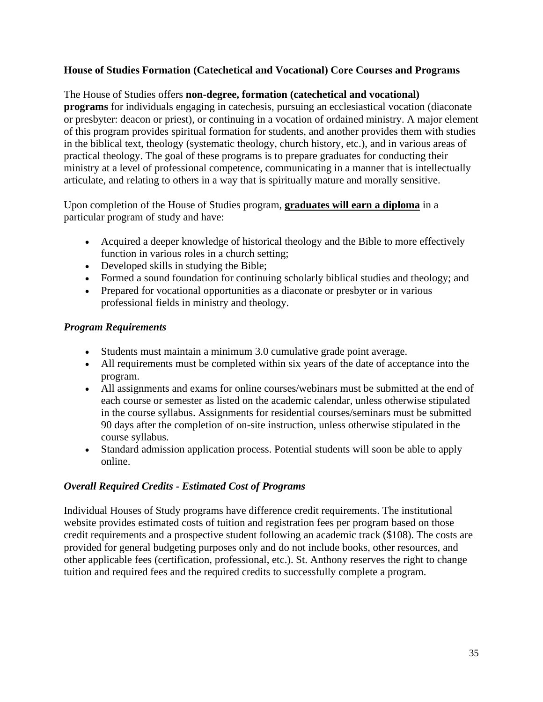#### **House of Studies Formation (Catechetical and Vocational) Core Courses and Programs**

#### The House of Studies offers **non-degree, formation (catechetical and vocational)**

**programs** for individuals engaging in catechesis, pursuing an ecclesiastical vocation (diaconate or presbyter: deacon or priest), or continuing in a vocation of ordained ministry. A major element of this program provides spiritual formation for students, and another provides them with studies in the biblical text, theology (systematic theology, church history, etc.), and in various areas of practical theology. The goal of these programs is to prepare graduates for conducting their ministry at a level of professional competence, communicating in a manner that is intellectually articulate, and relating to others in a way that is spiritually mature and morally sensitive.

Upon completion of the House of Studies program, **graduates will earn a diploma** in a particular program of study and have:

- Acquired a deeper knowledge of historical theology and the Bible to more effectively function in various roles in a church setting;
- Developed skills in studying the Bible;
- Formed a sound foundation for continuing scholarly biblical studies and theology; and
- Prepared for vocational opportunities as a diaconate or presbyter or in various professional fields in ministry and theology.

#### *Program Requirements*

- Students must maintain a minimum 3.0 cumulative grade point average.
- All requirements must be completed within six years of the date of acceptance into the program.
- All assignments and exams for online courses/webinars must be submitted at the end of each course or semester as listed on the academic calendar, unless otherwise stipulated in the course syllabus. Assignments for residential courses/seminars must be submitted 90 days after the completion of on-site instruction, unless otherwise stipulated in the course syllabus.
- Standard admission application process. Potential students will soon be able to apply online.

#### *Overall Required Credits - Estimated Cost of Programs*

Individual Houses of Study programs have difference credit requirements. The institutional website provides estimated costs of tuition and registration fees per program based on those credit requirements and a prospective student following an academic track (\$108). The costs are provided for general budgeting purposes only and do not include books, other resources, and other applicable fees (certification, professional, etc.). St. Anthony reserves the right to change tuition and required fees and the required credits to successfully complete a program.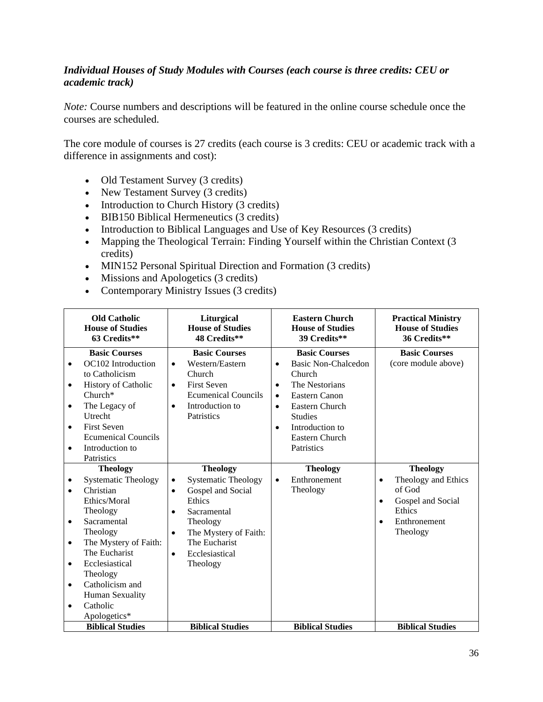# *Individual Houses of Study Modules with Courses (each course is three credits: CEU or academic track)*

*Note:* Course numbers and descriptions will be featured in the online course schedule once the courses are scheduled.

The core module of courses is 27 credits (each course is 3 credits: CEU or academic track with a difference in assignments and cost):

- Old Testament Survey (3 credits)
- New Testament Survey (3 credits)
- Introduction to Church History (3 credits)
- BIB150 Biblical Hermeneutics (3 credits)
- Introduction to Biblical Languages and Use of Key Resources (3 credits)
- Mapping the Theological Terrain: Finding Yourself within the Christian Context (3) credits)
- MIN152 Personal Spiritual Direction and Formation (3 credits)
- Missions and Apologetics (3 credits)
- Contemporary Ministry Issues (3 credits)

|           | <b>Old Catholic</b><br><b>House of Studies</b><br>63 Credits** |           | Liturgical<br><b>House of Studies</b><br>48 Credits** |           | <b>Eastern Church</b><br><b>House of Studies</b><br>39 Credits** |           | <b>Practical Ministry</b><br><b>House of Studies</b><br>36 Credits** |
|-----------|----------------------------------------------------------------|-----------|-------------------------------------------------------|-----------|------------------------------------------------------------------|-----------|----------------------------------------------------------------------|
|           | <b>Basic Courses</b>                                           |           | <b>Basic Courses</b>                                  |           | <b>Basic Courses</b>                                             |           | <b>Basic Courses</b>                                                 |
| $\bullet$ | OC102 Introduction                                             | $\bullet$ | Western/Eastern                                       | $\bullet$ | <b>Basic Non-Chalcedon</b>                                       |           | (core module above)                                                  |
|           | to Catholicism                                                 |           | Church                                                |           | Church                                                           |           |                                                                      |
| $\bullet$ | <b>History of Catholic</b>                                     | $\bullet$ | <b>First Seven</b>                                    | $\bullet$ | The Nestorians                                                   |           |                                                                      |
|           | $Church*$                                                      |           | <b>Ecumenical Councils</b>                            | $\bullet$ | Eastern Canon                                                    |           |                                                                      |
| $\bullet$ | The Legacy of                                                  | $\bullet$ | Introduction to                                       | $\bullet$ | Eastern Church                                                   |           |                                                                      |
|           | Utrecht                                                        |           | Patristics                                            |           | <b>Studies</b>                                                   |           |                                                                      |
| $\bullet$ | <b>First Seven</b>                                             |           |                                                       | $\bullet$ | Introduction to                                                  |           |                                                                      |
|           | <b>Ecumenical Councils</b>                                     |           |                                                       |           | Eastern Church                                                   |           |                                                                      |
| $\bullet$ | Introduction to                                                |           |                                                       |           | Patristics                                                       |           |                                                                      |
|           | Patristics                                                     |           |                                                       |           |                                                                  |           |                                                                      |
|           | <b>Theology</b>                                                |           | <b>Theology</b>                                       |           | <b>Theology</b>                                                  |           | <b>Theology</b>                                                      |
| ٠         | <b>Systematic Theology</b>                                     | $\bullet$ | <b>Systematic Theology</b>                            | $\bullet$ | Enthronement                                                     | $\bullet$ | Theology and Ethics                                                  |
| $\bullet$ | Christian                                                      | $\bullet$ | Gospel and Social                                     |           | Theology                                                         |           | of God                                                               |
|           | Ethics/Moral                                                   |           | Ethics                                                |           |                                                                  | $\bullet$ | Gospel and Social                                                    |
|           | Theology                                                       | $\bullet$ | Sacramental                                           |           |                                                                  |           | Ethics                                                               |
| $\bullet$ | Sacramental                                                    |           | Theology                                              |           |                                                                  | $\bullet$ | Enthronement                                                         |
|           | Theology                                                       | $\bullet$ | The Mystery of Faith:                                 |           |                                                                  |           | Theology                                                             |
| $\bullet$ | The Mystery of Faith:                                          |           | The Eucharist                                         |           |                                                                  |           |                                                                      |
|           | The Eucharist                                                  | $\bullet$ | Ecclesiastical                                        |           |                                                                  |           |                                                                      |
| $\bullet$ | Ecclesiastical                                                 |           | Theology                                              |           |                                                                  |           |                                                                      |
|           | Theology                                                       |           |                                                       |           |                                                                  |           |                                                                      |
| $\bullet$ | Catholicism and                                                |           |                                                       |           |                                                                  |           |                                                                      |
|           | Human Sexuality                                                |           |                                                       |           |                                                                  |           |                                                                      |
| $\bullet$ | Catholic                                                       |           |                                                       |           |                                                                  |           |                                                                      |
|           | Apologetics*                                                   |           |                                                       |           |                                                                  |           |                                                                      |
|           | <b>Biblical Studies</b>                                        |           | <b>Biblical Studies</b>                               |           | <b>Biblical Studies</b>                                          |           | <b>Biblical Studies</b>                                              |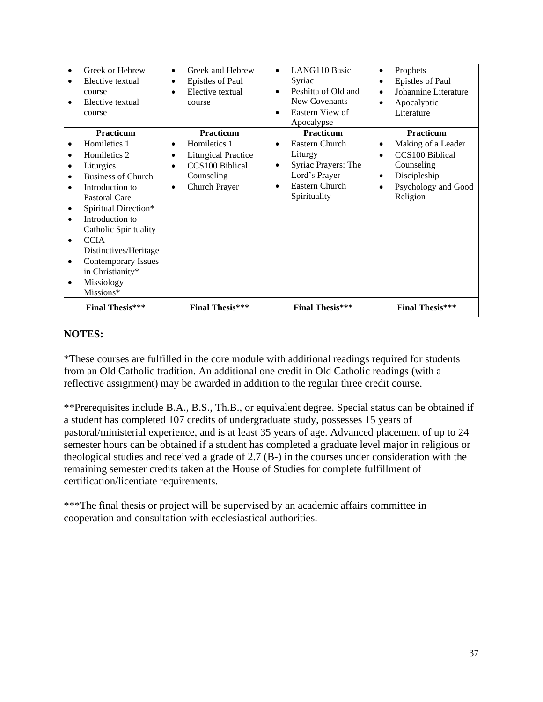|                  | Greek or Hebrew<br>Elective textual<br>course<br>Elective textual<br>course                                                                                                                                                                                                                                              | $\bullet$<br>$\bullet$<br>$\bullet$              | Greek and Hebrew<br>Epistles of Paul<br>Elective textual<br>course                                        | $\bullet$<br>$\bullet$<br>$\bullet$ | LANG110 Basic<br>Syriac<br>Peshitta of Old and<br>New Covenants<br>Eastern View of<br>Apocalypse                        | ٠<br>٠<br>$\bullet$    | Prophets<br>Epistles of Paul<br>Johannine Literature<br>Apocalyptic<br>Literature                                   |
|------------------|--------------------------------------------------------------------------------------------------------------------------------------------------------------------------------------------------------------------------------------------------------------------------------------------------------------------------|--------------------------------------------------|-----------------------------------------------------------------------------------------------------------|-------------------------------------|-------------------------------------------------------------------------------------------------------------------------|------------------------|---------------------------------------------------------------------------------------------------------------------|
| ٠<br>٠<br>٠<br>٠ | Practicum<br>Homiletics 1<br>Homiletics 2<br>Liturgics<br><b>Business of Church</b><br>Introduction to<br><b>Pastoral Care</b><br>Spiritual Direction*<br>Introduction to<br>Catholic Spirituality<br><b>CCIA</b><br>Distinctives/Heritage<br><b>Contemporary Issues</b><br>in Christianity*<br>Missiology-<br>Missions* | $\bullet$<br>$\bullet$<br>$\bullet$<br>$\bullet$ | Practicum<br>Homiletics 1<br><b>Liturgical Practice</b><br>CCS100 Biblical<br>Counseling<br>Church Prayer | $\bullet$<br>$\bullet$<br>$\bullet$ | <b>Practicum</b><br>Eastern Church<br>Liturgy<br>Syriac Prayers: The<br>Lord's Prayer<br>Eastern Church<br>Spirituality | $\bullet$<br>$\bullet$ | Practicum<br>Making of a Leader<br>CCS100 Biblical<br>Counseling<br>Discipleship<br>Psychology and Good<br>Religion |
|                  | <b>Final Thesis***</b>                                                                                                                                                                                                                                                                                                   |                                                  | <b>Final Thesis***</b>                                                                                    |                                     | <b>Final Thesis***</b>                                                                                                  |                        | <b>Final Thesis***</b>                                                                                              |

#### **NOTES:**

\*These courses are fulfilled in the core module with additional readings required for students from an Old Catholic tradition. An additional one credit in Old Catholic readings (with a reflective assignment) may be awarded in addition to the regular three credit course.

\*\*Prerequisites include B.A., B.S., Th.B., or equivalent degree. Special status can be obtained if a student has completed 107 credits of undergraduate study, possesses 15 years of pastoral/ministerial experience, and is at least 35 years of age. Advanced placement of up to 24 semester hours can be obtained if a student has completed a graduate level major in religious or theological studies and received a grade of 2.7 (B-) in the courses under consideration with the remaining semester credits taken at the House of Studies for complete fulfillment of certification/licentiate requirements.

\*\*\*The final thesis or project will be supervised by an academic affairs committee in cooperation and consultation with ecclesiastical authorities.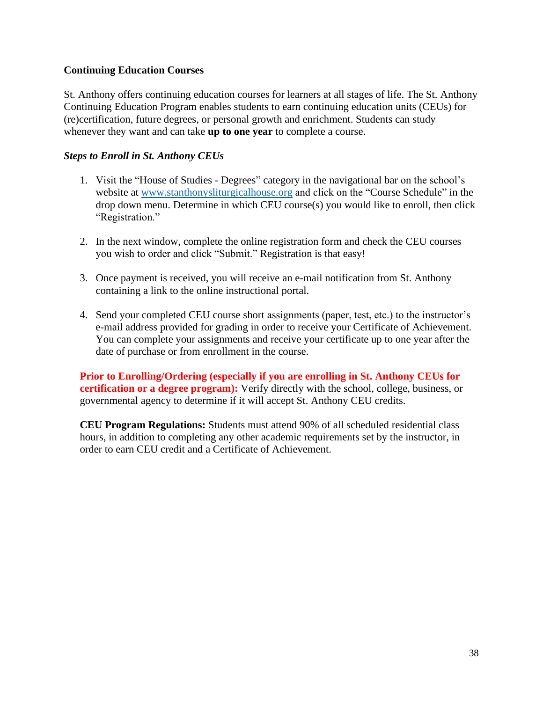#### **Continuing Education Courses**

St. Anthony offers continuing education courses for learners at all stages of life. The St. Anthony Continuing Education Program enables students to earn continuing education units (CEUs) for (re)certification, future degrees, or personal growth and enrichment. Students can study whenever they want and can take **up to one year** to complete a course.

#### *Steps to Enroll in St. Anthony CEUs*

- 1. Visit the "House of Studies Degrees" category in the navigational bar on the school's website at [www.stanthonysliturgicalhouse.org](http://www.stanthonysliturgicalhouse.org/) and click on the "Course Schedule" in the drop down menu. Determine in which CEU course(s) you would like to enroll, then click "Registration."
- 2. In the next window, complete the online registration form and check the CEU courses you wish to order and click "Submit." Registration is that easy!
- 3. Once payment is received, you will receive an e-mail notification from St. Anthony containing a link to the online instructional portal.
- 4. Send your completed CEU course short assignments (paper, test, etc.) to the instructor's e-mail address provided for grading in order to receive your Certificate of Achievement. You can complete your assignments and receive your certificate up to one year after the date of purchase or from enrollment in the course.

**Prior to Enrolling/Ordering (especially if you are enrolling in St. Anthony CEUs for certification or a degree program):** Verify directly with the school, college, business, or governmental agency to determine if it will accept St. Anthony CEU credits.

**CEU Program Regulations:** Students must attend 90% of all scheduled residential class hours, in addition to completing any other academic requirements set by the instructor, in order to earn CEU credit and a Certificate of Achievement.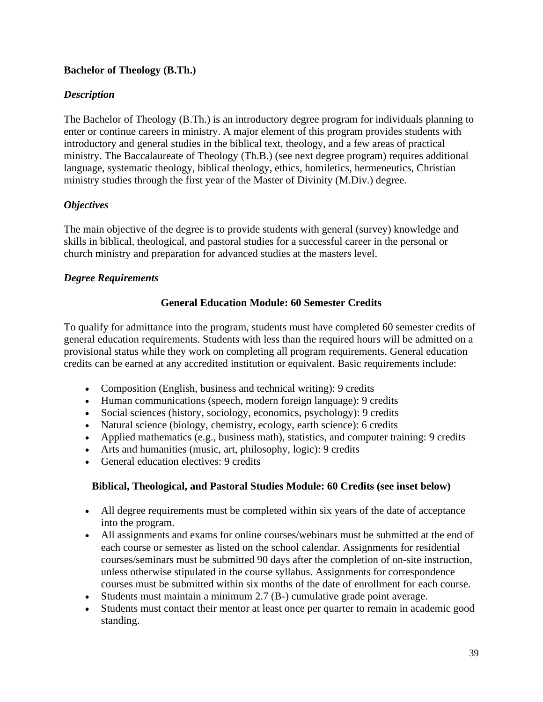# **Bachelor of Theology (B.Th.)**

# *Description*

The Bachelor of Theology (B.Th.) is an introductory degree program for individuals planning to enter or continue careers in ministry. A major element of this program provides students with introductory and general studies in the biblical text, theology, and a few areas of practical ministry. The Baccalaureate of Theology (Th.B.) (see next degree program) [r](https://www.stanthonysliturgicalhouse.org/baccalaureate-of-theology-th-b)equires additional language, systematic theology, biblical theology, ethics, homiletics, hermeneutics, Christian ministry studies through the first year of the Master of Divinity (M.Div.) degree.

# *Objectives*

The main objective of the degree is to provide students with general (survey) knowledge and skills in biblical, theological, and pastoral studies for a successful career in the personal or church ministry and preparation for advanced studies at the masters level.

#### *Degree Requirements*

# **General Education Module: 60 Semester Credits**

To qualify for admittance into the program, students must have completed 60 semester credits of general education requirements. Students with less than the required hours will be admitted on a provisional status while they work on completing all program requirements. General education credits can be earned at any accredited institution or equivalent. Basic requirements include:

- Composition (English, business and technical writing): 9 credits
- Human communications (speech, modern foreign language): 9 credits
- Social sciences (history, sociology, economics, psychology): 9 credits
- Natural science (biology, chemistry, ecology, earth science): 6 credits
- Applied mathematics (e.g., business math), statistics, and computer training: 9 credits
- Arts and humanities (music, art, philosophy, logic): 9 credits
- General education electives: 9 credits

# **Biblical, Theological, and Pastoral Studies Module: 60 Credits (see inset below)**

- All degree requirements must be completed within six years of the date of acceptance into the program.
- All assignments and exams for online courses/webinars must be submitted at the end of each course or semester as listed on the school calendar. Assignments for residential courses/seminars must be submitted 90 days after the completion of on-site instruction, unless otherwise stipulated in the course syllabus. Assignments for correspondence courses must be submitted within six months of the date of enrollment for each course.
- Students must maintain a minimum 2.7 (B-) cumulative grade point average.
- Students must contact their mentor at least once per quarter to remain in academic good standing.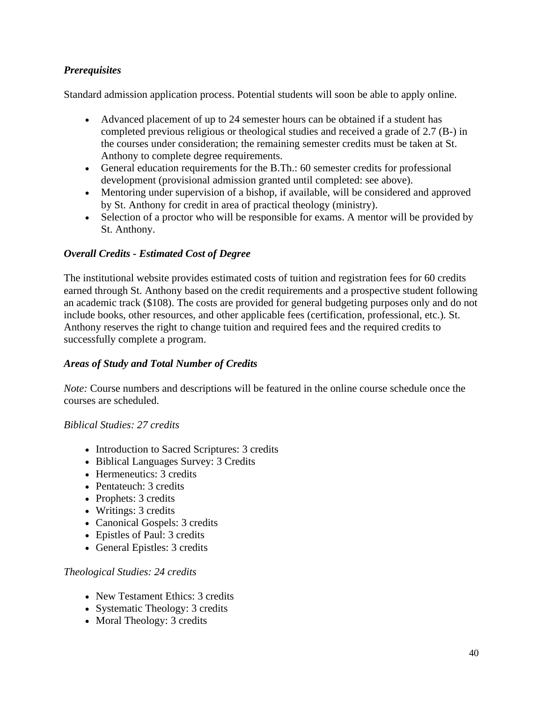# *Prerequisites*

Standard admission application process. Potential students will soon be able to apply online.

- Advanced placement of up to 24 semester hours can be obtained if a student has completed previous religious or theological studies and received a grade of 2.7 (B-) in the courses under consideration; the remaining semester credits must be taken at St. Anthony to complete degree requirements.
- General education requirements for the B.Th.: 60 semester credits for professional development (provisional admission granted until completed: see above).
- Mentoring under supervision of a bishop, if available, will be considered and approved by St. Anthony for credit in area of practical theology (ministry).
- Selection of a proctor who will be responsible for exams. A mentor will be provided by St. Anthony.

# *Overall Credits - Estimated Cost of Degree*

The institutional website provides estimated costs of tuition and registration fees for 60 credits earned through St. Anthony based on the credit requirements and a prospective student following an academic track (\$108). The costs are provided for general budgeting purposes only and do not include books, other resources, and other applicable fees (certification, professional, etc.). St. Anthony reserves the right to change tuition and required fees and the required credits to successfully complete a program.

# *Areas of Study and Total Number of Credits*

*Note:* Course numbers and descriptions will be featured in the online course schedule once the courses are scheduled.

#### *Biblical Studies: 27 credits*

- Introduction to Sacred Scriptures: 3 credits
- Biblical Languages Survey: 3 Credits
- Hermeneutics: 3 credits
- Pentateuch: 3 credits
- Prophets: 3 credits
- Writings: 3 credits
- Canonical Gospels: 3 credits
- Epistles of Paul: 3 credits
- General Epistles: 3 credits

#### *Theological Studies: 24 credits*

- New Testament Ethics: 3 credits
- Systematic Theology: 3 credits
- Moral Theology: 3 credits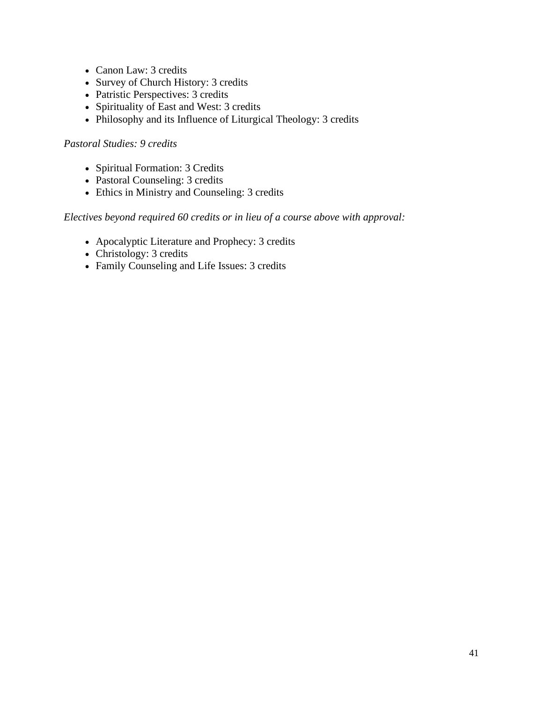- Canon Law: 3 credits
- Survey of Church History: 3 credits
- Patristic Perspectives: 3 credits
- Spirituality of East and West: 3 credits
- Philosophy and its Influence of Liturgical Theology: 3 credits

# *Pastoral Studies: 9 credits*

- Spiritual Formation: 3 Credits
- Pastoral Counseling: 3 credits
- Ethics in Ministry and Counseling: 3 credits

#### *Electives beyond required 60 credits or in lieu of a course above with approval:*

- Apocalyptic Literature and Prophecy: 3 credits
- Christology: 3 credits
- Family Counseling and Life Issues: 3 credits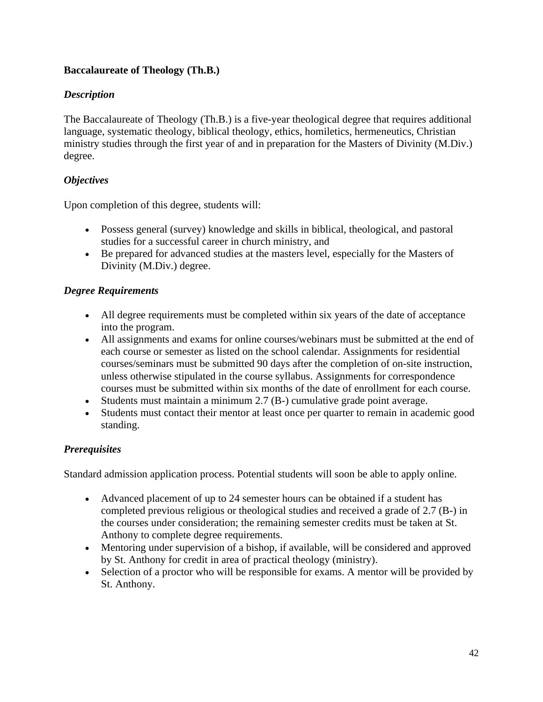# **Baccalaureate of Theology (Th.B.)**

# *Description*

The Baccalaureate of Theology (Th.B.) is a five-year theological degree that requires additional language, systematic theology, biblical theology, ethics, homiletics, hermeneutics, Christian ministry studies through the first year of and in preparation for the Masters of Divinity (M.Div.) degree.

# *Objectives*

Upon completion of this degree, students will:

- Possess general (survey) knowledge and skills in biblical, theological, and pastoral studies for a successful career in church ministry, and
- Be prepared for advanced studies at the masters level, especially for the Masters of Divinity (M.Div.[\)](https://www.stanthonysliturgicalhouse.org/masters) degree.

#### *Degree Requirements*

- All degree requirements must be completed within six years of the date of acceptance into the program.
- All assignments and exams for online courses/webinars must be submitted at the end of each course or semester as listed on the school calendar. Assignments for residential courses/seminars must be submitted 90 days after the completion of on-site instruction, unless otherwise stipulated in the course syllabus. Assignments for correspondence courses must be submitted within six months of the date of enrollment for each course.
- Students must maintain a minimum 2.7 (B-) cumulative grade point average.
- Students must contact their mentor at least once per quarter to remain in academic good standing.

#### *Prerequisites*

Standard admission application process. Potential students will soon be able to apply online.

- Advanced placement of up to 24 semester hours can be obtained if a student has completed previous religious or theological studies and received a grade of 2.7 (B-) in the courses under consideration; the remaining semester credits must be taken at St. Anthony to complete degree requirements.
- Mentoring under supervision of a bishop, if available, will be considered and approved by St. Anthony for credit in area of practical theology (ministry).
- Selection of a proctor who will be responsible for exams. A mentor will be provided by St. Anthony.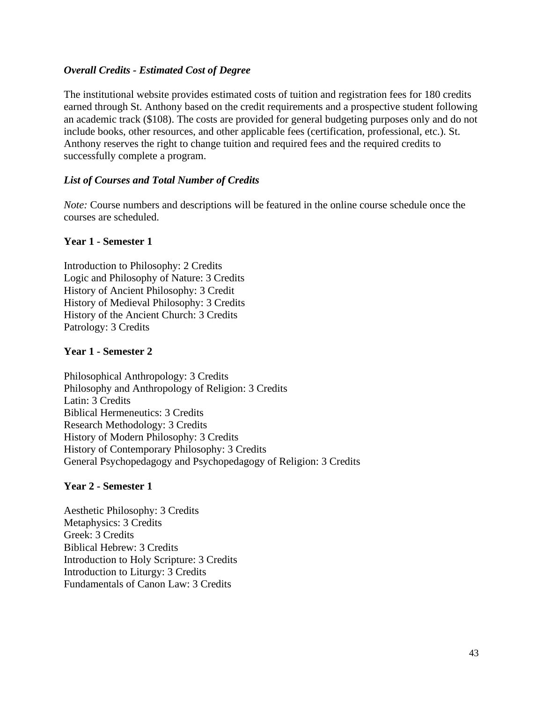#### *Overall Credits - Estimated Cost of Degree*

The institutional website provides estimated costs of tuition and registration fees for 180 credits earned through St. Anthony based on the credit requirements and a prospective student following an academic track (\$108). The costs are provided for general budgeting purposes only and do not include books, other resources, and other applicable fees (certification, professional, etc.). St. Anthony reserves the right to change tuition and required fees and the required credits to successfully complete a program.

#### *List of Courses and Total Number of Credits*

*Note:* Course numbers and descriptions will be featured in the online course schedule once the courses are scheduled.

#### **Year 1 - Semester 1**

Introduction to Philosophy: 2 Credits Logic and Philosophy of Nature: 3 Credits History of Ancient Philosophy: 3 Credit History of Medieval Philosophy: 3 Credits History of the Ancient Church: 3 Credits Patrology: 3 Credits

#### **Year 1 - Semester 2**

Philosophical Anthropology: 3 Credits Philosophy and Anthropology of Religion: 3 Credits Latin: 3 Credits Biblical Hermeneutics: 3 Credits Research Methodology: 3 Credits History of Modern Philosophy: 3 Credits History of Contemporary Philosophy: 3 Credits General Psychopedagogy and Psychopedagogy of Religion: 3 Credits

#### **Year 2 - Semester 1**

Aesthetic Philosophy: 3 Credits Metaphysics: 3 Credits Greek: 3 Credits Biblical Hebrew: 3 Credits Introduction to Holy Scripture: 3 Credits Introduction to Liturgy: 3 Credits Fundamentals of Canon Law: 3 Credits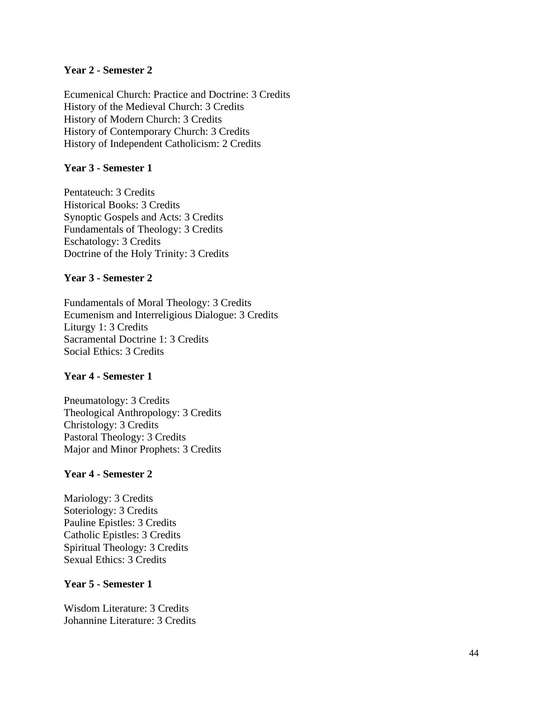#### **Year 2 - Semester 2**

Ecumenical Church: Practice and Doctrine: 3 Credits History of the Medieval Church: 3 Credits History of Modern Church: 3 Credits History of Contemporary Church: 3 Credits History of Independent Catholicism: 2 Credits

#### **Year 3 - Semester 1**

Pentateuch: 3 Credits Historical Books: 3 Credits Synoptic Gospels and Acts: 3 Credits Fundamentals of Theology: 3 Credits Eschatology: 3 Credits Doctrine of the Holy Trinity: 3 Credits

#### **Year 3 - Semester 2**

Fundamentals of Moral Theology: 3 Credits Ecumenism and Interreligious Dialogue: 3 Credits Liturgy 1: 3 Credits Sacramental Doctrine 1: 3 Credits Social Ethics: 3 Credits

#### **Year 4 - Semester 1**

Pneumatology: 3 Credits Theological Anthropology: 3 Credits Christology: 3 Credits Pastoral Theology: 3 Credits Major and Minor Prophets: 3 Credits

#### **Year 4 - Semester 2**

Mariology: 3 Credits Soteriology: 3 Credits Pauline Epistles: 3 Credits Catholic Epistles: 3 Credits Spiritual Theology: 3 Credits Sexual Ethics: 3 Credits

#### **Year 5 - Semester 1**

Wisdom Literature: 3 Credits Johannine Literature: 3 Credits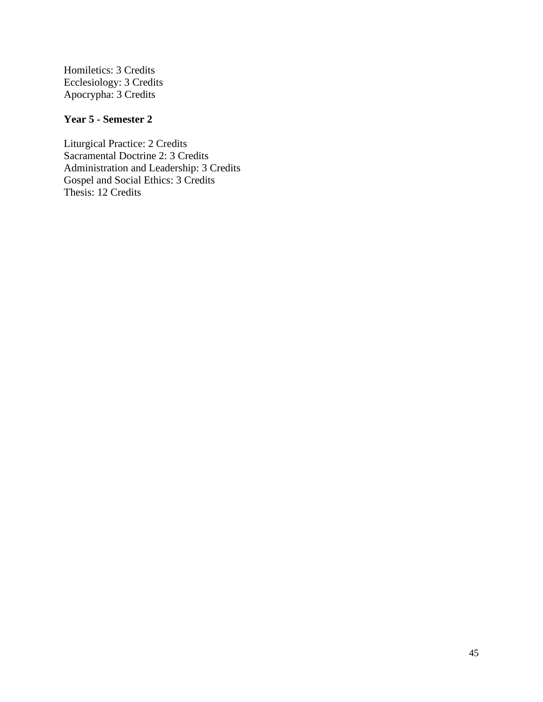Homiletics: 3 Credits Ecclesiology: 3 Credits Apocrypha: 3 Credits

# **Year 5 - Semester 2**

Liturgical Practice: 2 Credits Sacramental Doctrine 2: 3 Credits Administration and Leadership: 3 Credits Gospel and Social Ethics: 3 Credits Thesis: 12 Credits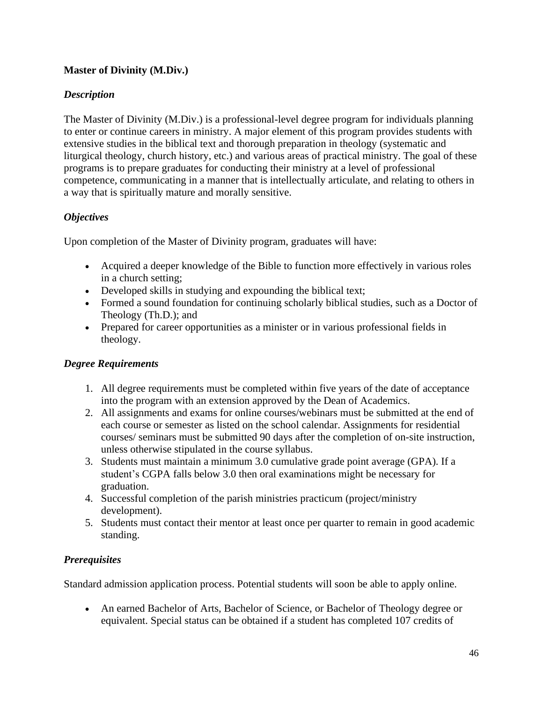# **Master of Divinity (M.Div.)**

# *Description*

The Master of Divinity (M.Div.) is a professional-level degree program for individuals planning to enter or continue careers in ministry. A major element of this program provides students with extensive studies in the biblical text and thorough preparation in theology (systematic and liturgical theology, church history, etc.) and various areas of practical ministry. The goal of these programs is to prepare graduates for conducting their ministry at a level of professional competence, communicating in a manner that is intellectually articulate, and relating to others in a way that is spiritually mature and morally sensitive.

# *Objectives*

Upon completion of the Master of Divinity program, graduates will have:

- Acquired a deeper knowledge of the Bible to function more effectively in various roles in a church setting;
- Developed skills in studying and expounding the biblical text;
- Formed a sound foundation for continuing scholarly biblical studies, such as a Doctor of Theology (Th.D.); and
- Prepared for career opportunities as a minister or in various professional fields in theology.

#### *Degree Requirements*

- 1. All degree requirements must be completed within five years of the date of acceptance into the program with an extension approved by the Dean of Academics.
- 2. All assignments and exams for online courses/webinars must be submitted at the end of each course or semester as listed on the school calendar. Assignments for residential courses/ seminars must be submitted 90 days after the completion of on-site instruction, unless otherwise stipulated in the course syllabus.
- 3. Students must maintain a minimum 3.0 cumulative grade point average (GPA). If a student's CGPA falls below 3.0 then oral examinations might be necessary for graduation.
- 4. Successful completion of the parish ministries practicum (project/ministry development).
- 5. Students must contact their mentor at least once per quarter to remain in good academic standing.

#### *Prerequisites*

Standard admission application process. Potential students will soon be able to apply online.

• An earned Bachelor of Arts, Bachelor of Science, or Bachelor of Theology degree or equivalent. Special status can be obtained if a student has completed 107 credits of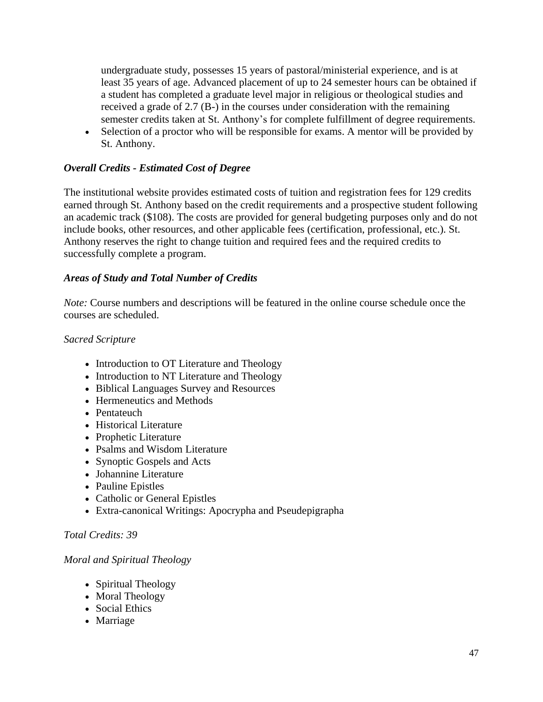undergraduate study, possesses 15 years of pastoral/ministerial experience, and is at least 35 years of age. Advanced placement of up to 24 semester hours can be obtained if a student has completed a graduate level major in religious or theological studies and received a grade of 2.7 (B-) in the courses under consideration with the remaining semester credits taken at St. Anthony's for complete fulfillment of degree requirements.

• Selection of a proctor who will be responsible for exams. A mentor will be provided by St. Anthony.

# *Overall Credits - Estimated Cost of Degree*

The institutional website provides estimated costs of tuition and registration fees for 129 credits earned through St. Anthony based on the credit requirements and a prospective student following an academic track (\$108). The costs are provided for general budgeting purposes only and do not include books, other resources, and other applicable fees (certification, professional, etc.). St. Anthony reserves the right to change tuition and required fees and the required credits to successfully complete a program.

#### *Areas of Study and Total Number of Credits*

*Note:* Course numbers and descriptions will be featured in the online course schedule once the courses are scheduled.

#### *Sacred Scripture*

- Introduction to OT Literature and Theology
- Introduction to NT Literature and Theology
- Biblical Languages Survey and Resources
- Hermeneutics and Methods
- Pentateuch
- Historical Literature
- Prophetic Literature
- Psalms and Wisdom Literature
- Synoptic Gospels and Acts
- Johannine Literature
- Pauline Epistles
- Catholic or General Epistles
- Extra-canonical Writings: Apocrypha and Pseudepigrapha

#### *Total Credits: 39*

#### *Moral and Spiritual Theology*

- Spiritual Theology
- Moral Theology
- Social Ethics
- Marriage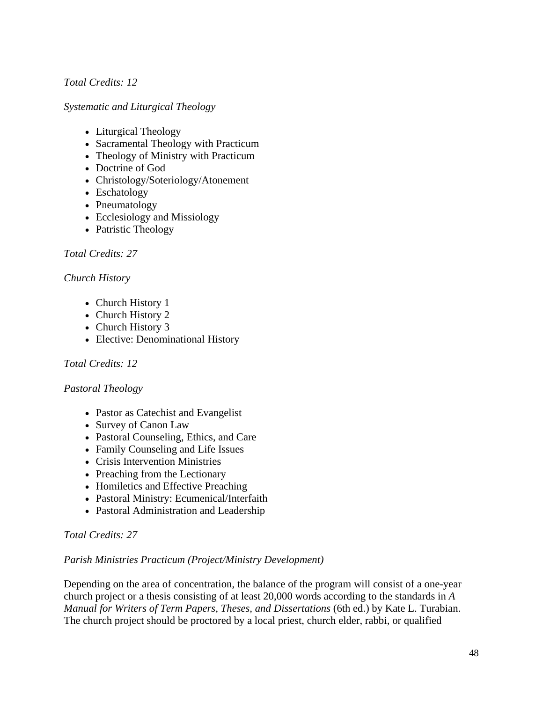#### *Total Credits: 12*

#### *Systematic and Liturgical Theology*

- Liturgical Theology
- Sacramental Theology with Practicum
- Theology of Ministry with Practicum
- Doctrine of God
- Christology/Soteriology/Atonement
- Eschatology
- Pneumatology
- Ecclesiology and Missiology
- Patristic Theology

#### *Total Credits: 27*

#### *Church History*

- Church History 1
- Church History 2
- Church History 3
- Elective: Denominational History

#### *Total Credits: 12*

#### *Pastoral Theology*

- Pastor as Catechist and Evangelist
- Survey of Canon Law
- Pastoral Counseling, Ethics, and Care
- Family Counseling and Life Issues
- Crisis Intervention Ministries
- Preaching from the Lectionary
- Homiletics and Effective Preaching
- Pastoral Ministry: Ecumenical/Interfaith
- Pastoral Administration and Leadership

#### *Total Credits: 27*

#### *Parish Ministries Practicum (Project/Ministry Development)*

Depending on the area of concentration, the balance of the program will consist of a one-year church project or a thesis consisting of at least 20,000 words according to the standards in *A Manual for Writers of Term Papers, Theses, and Dissertations* (6th ed.) by Kate L. Turabian. The church project should be proctored by a local priest, church elder, rabbi, or qualified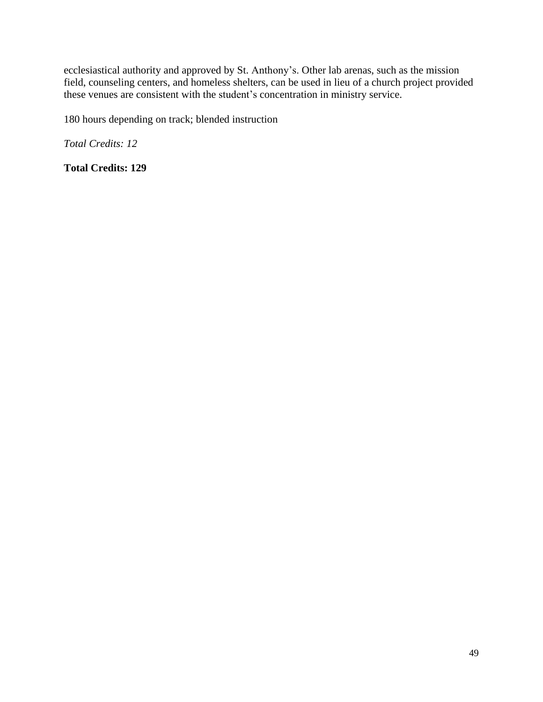ecclesiastical authority and approved by St. Anthony's. Other lab arenas, such as the mission field, counseling centers, and homeless shelters, can be used in lieu of a church project provided these venues are consistent with the student's concentration in ministry service.

180 hours depending on track; blended instruction

*Total Credits: 12*

**Total Credits: 129**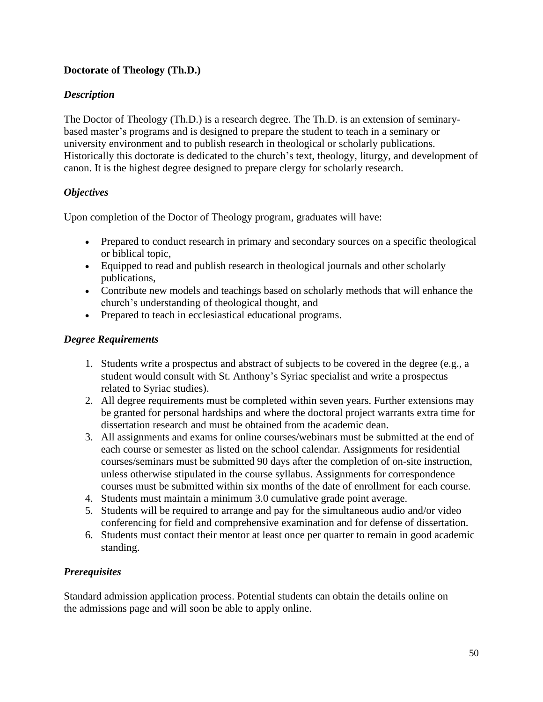# **Doctorate of Theology (Th.D.)**

# *Description*

The Doctor of Theology (Th.D.) is a research degree. The Th.D. is an extension of seminarybased master's programs and is designed to prepare the student to teach in a seminary or university environment and to publish research in theological or scholarly publications. Historically this doctorate is dedicated to the church's text, theology, liturgy, and development of canon. It is the highest degree designed to prepare clergy for scholarly research.

# *Objectives*

Upon completion of the Doctor of Theology program, graduates will have:

- Prepared to conduct research in primary and secondary sources on a specific theological or biblical topic,
- Equipped to read and publish research in theological journals and other scholarly publications,
- Contribute new models and teachings based on scholarly methods that will enhance the church's understanding of theological thought, and
- Prepared to teach in ecclesiastical educational programs.

# *Degree Requirements*

- 1. Students write a prospectus and abstract of subjects to be covered in the degree (e.g., a student would consult with St. Anthony's Syriac specialist and write a prospectus related to Syriac studies).
- 2. All degree requirements must be completed within seven years. Further extensions may be granted for personal hardships and where the doctoral project warrants extra time for dissertation research and must be obtained from the academic dean.
- 3. All assignments and exams for online courses/webinars must be submitted at the end of each course or semester as listed on the school calendar. Assignments for residential courses/seminars must be submitted 90 days after the completion of on-site instruction, unless otherwise stipulated in the course syllabus. Assignments for correspondence courses must be submitted within six months of the date of enrollment for each course.
- 4. Students must maintain a minimum 3.0 cumulative grade point average.
- 5. Students will be required to arrange and pay for the simultaneous audio and/or video conferencing for field and comprehensive examination and for defense of dissertation.
- 6. Students must contact their mentor at least once per quarter to remain in good academic standing.

# *Prerequisites*

Standard admission application process. Potential students can obtain the details online on the admissions page and will soon be able to apply online.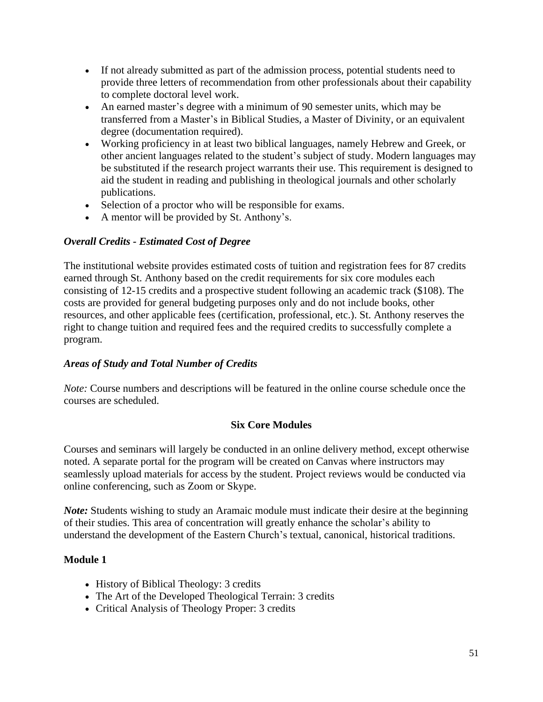- If not already submitted as part of the admission process, potential students need to provide three letters of recommendation from other professionals about their capability to complete doctoral level work.
- An earned master's degree with a minimum of 90 semester units, which may be transferred from a Master's in Biblical Studies, a Master of Divinity, or an equivalent degree (documentation required).
- Working proficiency in at least two biblical languages, namely Hebrew and Greek, or other ancient languages related to the student's subject of study. Modern languages may be substituted if the research project warrants their use. This requirement is designed to aid the student in reading and publishing in theological journals and other scholarly publications.
- Selection of a proctor who will be responsible for exams.
- A mentor will be provided by St. Anthony's.

# *Overall Credits - Estimated Cost of Degree*

The institutional website provides estimated costs of tuition and registration fees for 87 credits earned through St. Anthony based on the credit requirements for six core modules each consisting of 12-15 credits and a prospective student following an academic track (\$108). The costs are provided for general budgeting purposes only and do not include books, other resources, and other applicable fees (certification, professional, etc.). St. Anthony reserves the right to change tuition and required fees and the required credits to successfully complete a program.

#### *Areas of Study and Total Number of Credits*

*Note:* Course numbers and descriptions will be featured in the online course schedule once the courses are scheduled.

#### **Six Core Modules**

Courses and seminars will largely be conducted in an online delivery method, except otherwise noted. A separate portal for the program will be created on Canvas where instructors may seamlessly upload materials for access by the student. Project reviews would be conducted via online conferencing, such as Zoom or Skype.

*Note:* Students wishing to study an Aramaic module must indicate their desire at the beginning of their studies. This area of concentration will greatly enhance the scholar's ability to understand the development of the Eastern Church's textual, canonical, historical traditions.

#### **Module 1**

- History of Biblical Theology: 3 credits
- The Art of the Developed Theological Terrain: 3 credits
- Critical Analysis of Theology Proper: 3 credits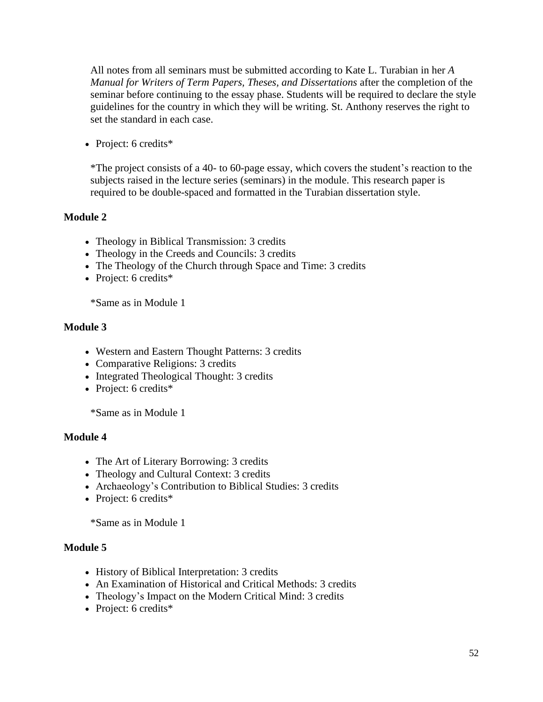All notes from all seminars must be submitted according to Kate L. Turabian in her *A Manual for Writers of Term Papers, Theses, and Dissertations* after the completion of the seminar before continuing to the essay phase. Students will be required to declare the style guidelines for the country in which they will be writing. St. Anthony reserves the right to set the standard in each case.

• Project: 6 credits\*

\*The project consists of a 40- to 60-page essay, which covers the student's reaction to the subjects raised in the lecture series (seminars) in the module. This research paper is required to be double-spaced and formatted in the Turabian dissertation style.

#### **Module 2**

- Theology in Biblical Transmission: 3 credits
- Theology in the Creeds and Councils: 3 credits
- The Theology of the Church through Space and Time: 3 credits
- Project: 6 credits\*

\*Same as in Module 1

#### **Module 3**

- Western and Eastern Thought Patterns: 3 credits
- Comparative Religions: 3 credits
- Integrated Theological Thought: 3 credits
- Project: 6 credits\*

\*Same as in Module 1

#### **Module 4**

- The Art of Literary Borrowing: 3 credits
- Theology and Cultural Context: 3 credits
- Archaeology's Contribution to Biblical Studies: 3 credits
- Project: 6 credits\*

\*Same as in Module 1

#### **Module 5**

- History of Biblical Interpretation: 3 credits
- An Examination of Historical and Critical Methods: 3 credits
- Theology's Impact on the Modern Critical Mind: 3 credits
- Project: 6 credits\*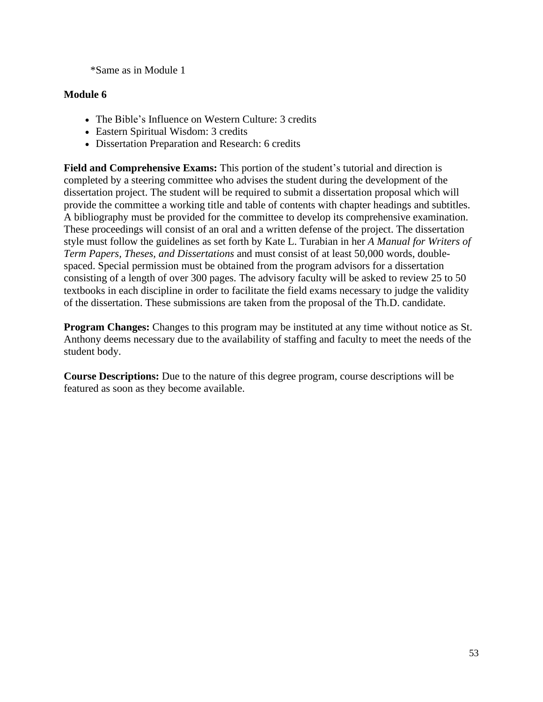\*Same as in Module 1

# **Module 6**

- The Bible's Influence on Western Culture: 3 credits
- Eastern Spiritual Wisdom: 3 credits
- Dissertation Preparation and Research: 6 credits

**Field and Comprehensive Exams:** This portion of the student's tutorial and direction is completed by a steering committee who advises the student during the development of the dissertation project. The student will be required to submit a dissertation proposal which will provide the committee a working title and table of contents with chapter headings and subtitles. A bibliography must be provided for the committee to develop its comprehensive examination. These proceedings will consist of an oral and a written defense of the project. The dissertation style must follow the guidelines as set forth by Kate L. Turabian in her *A Manual for Writers of Term Papers, Theses, and Dissertations* and must consist of at least 50,000 words, doublespaced. Special permission must be obtained from the program advisors for a dissertation consisting of a length of over 300 pages. The advisory faculty will be asked to review 25 to 50 textbooks in each discipline in order to facilitate the field exams necessary to judge the validity of the dissertation. These submissions are taken from the proposal of the Th.D. candidate.

**Program Changes:** Changes to this program may be instituted at any time without notice as St. Anthony deems necessary due to the availability of staffing and faculty to meet the needs of the student body.

**Course Descriptions:** Due to the nature of this degree program, course descriptions will be featured as soon as they become available.